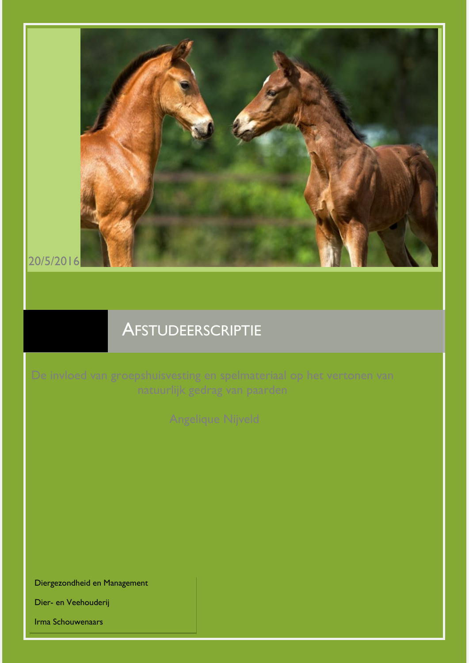

# **AFSTUDEERSCRIPTIE**

Diergezondheid en Management

Dier- en Veehouderij

Irma Schouwenaars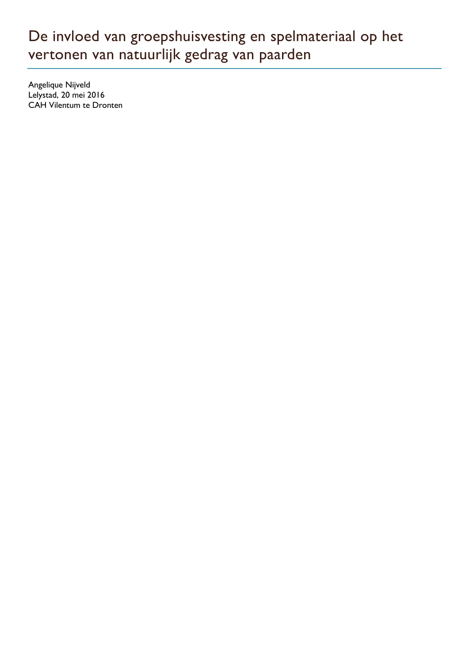# De invloed van groepshuisvesting en spelmateriaal op het vertonen van natuurlijk gedrag van paarden

Angelique Nijveld Lelystad, 20 mei 2016 CAH Vilentum te Dronten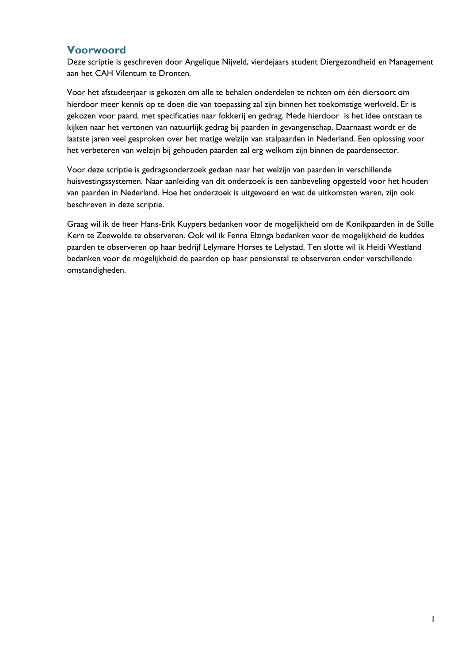## <span id="page-2-0"></span>**Voorwoord**

Deze scriptie is geschreven door Angelique Nijveld, vierdejaars student Diergezondheid en Management aan het CAH Vilentum te Dronten.

Voor het afstudeerjaar is gekozen om alle te behalen onderdelen te richten om één diersoort om hierdoor meer kennis op te doen die van toepassing zal zijn binnen het toekomstige werkveld. Er is gekozen voor paard, met specificaties naar fokkerij en gedrag. Mede hierdoor is het idee ontstaan te kijken naar het vertonen van natuurlijk gedrag bij paarden in gevangenschap. Daarnaast wordt er de laatste jaren veel gesproken over het matige welzijn van stalpaarden in Nederland. Een oplossing voor het verbeteren van welzijn bij gehouden paarden zal erg welkom zijn binnen de paardensector.

Voor deze scriptie is gedragsonderzoek gedaan naar het welzijn van paarden in verschillende huisvestingssystemen. Naar aanleiding van dit onderzoek is een aanbeveling opgesteld voor het houden van paarden in Nederland. Hoe het onderzoek is uitgevoerd en wat de uitkomsten waren, zijn ook beschreven in deze scriptie.

Graag wil ik de heer Hans-Erik Kuypers bedanken voor de mogelijkheid om de Konikpaarden in de Stille Kern te Zeewolde te observeren. Ook wil ik Fenna Elzinga bedanken voor de mogelijkheid de kuddes paarden te observeren op haar bedrijf Lelymare Horses te Lelystad. Ten slotte wil ik Heidi Westland bedanken voor de mogelijkheid de paarden op haar pensionstal te observeren onder verschillende omstandigheden.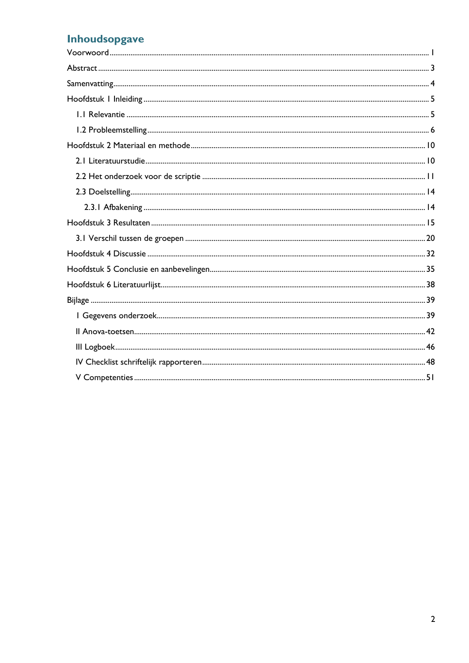## Inhoudsopgave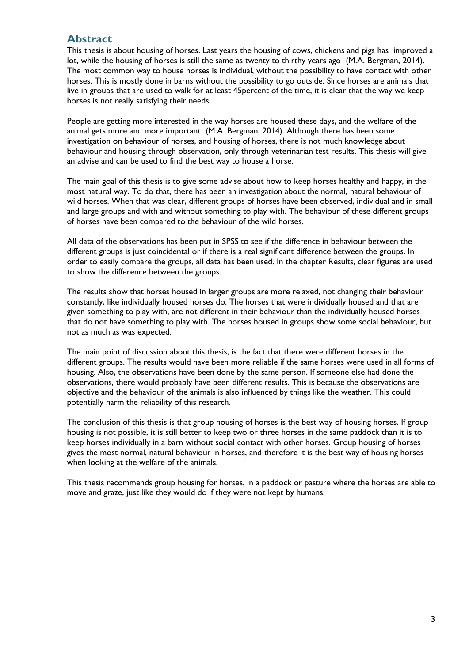## <span id="page-4-0"></span>**Abstract**

This thesis is about housing of horses. Last years the housing of cows, chickens and pigs has improved a lot, while the housing of horses is still the same as twenty to thirthy years ago (M.A. Bergman, 2014). The most common way to house horses is individual, without the possibility to have contact with other horses. This is mostly done in barns without the possibility to go outside. Since horses are animals that live in groups that are used to walk for at least 45percent of the time, it is clear that the way we keep horses is not really satisfying their needs.

People are getting more interested in the way horses are housed these days, and the welfare of the animal gets more and more important (M.A. Bergman, 2014). Although there has been some investigation on behaviour of horses, and housing of horses, there is not much knowledge about behaviour and housing through observation, only through veterinarian test results. This thesis will give an advise and can be used to find the best way to house a horse.

The main goal of this thesis is to give some advise about how to keep horses healthy and happy, in the most natural way. To do that, there has been an investigation about the normal, natural behaviour of wild horses. When that was clear, different groups of horses have been observed, individual and in small and large groups and with and without something to play with. The behaviour of these different groups of horses have been compared to the behaviour of the wild horses.

All data of the observations has been put in SPSS to see if the difference in behaviour between the different groups is just coincidental or if there is a real significant difference between the groups. In order to easily compare the groups, all data has been used. In the chapter Results, clear figures are used to show the difference between the groups.

The results show that horses housed in larger groups are more relaxed, not changing their behaviour constantly, like individually housed horses do. The horses that were individually housed and that are given something to play with, are not different in their behaviour than the individually housed horses that do not have something to play with. The horses housed in groups show some social behaviour, but not as much as was expected.

The main point of discussion about this thesis, is the fact that there were different horses in the different groups. The results would have been more reliable if the same horses were used in all forms of housing. Also, the observations have been done by the same person. If someone else had done the observations, there would probably have been different results. This is because the observations are objective and the behaviour of the animals is also influenced by things like the weather. This could potentially harm the reliability of this research.

The conclusion of this thesis is that group housing of horses is the best way of housing horses. If group housing is not possible, it is still better to keep two or three horses in the same paddock than it is to keep horses individually in a barn without social contact with other horses. Group housing of horses gives the most normal, natural behaviour in horses, and therefore it is the best way of housing horses when looking at the welfare of the animals.

This thesis recommends group housing for horses, in a paddock or pasture where the horses are able to move and graze, just like they would do if they were not kept by humans.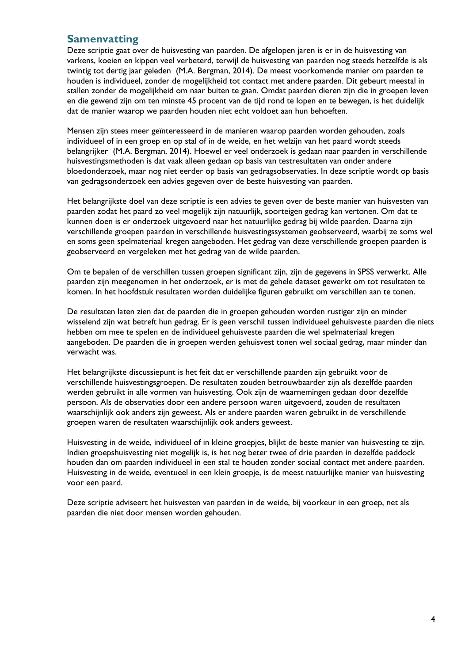## <span id="page-5-0"></span>**Samenvatting**

Deze scriptie gaat over de huisvesting van paarden. De afgelopen jaren is er in de huisvesting van varkens, koeien en kippen veel verbeterd, terwijl de huisvesting van paarden nog steeds hetzelfde is als twintig tot dertig jaar geleden (M.A. Bergman, 2014). De meest voorkomende manier om paarden te houden is individueel, zonder de mogelijkheid tot contact met andere paarden. Dit gebeurt meestal in stallen zonder de mogelijkheid om naar buiten te gaan. Omdat paarden dieren zijn die in groepen leven en die gewend zijn om ten minste 45 procent van de tijd rond te lopen en te bewegen, is het duidelijk dat de manier waarop we paarden houden niet echt voldoet aan hun behoeften.

Mensen zijn stees meer geïnteresseerd in de manieren waarop paarden worden gehouden, zoals individueel of in een groep en op stal of in de weide, en het welzijn van het paard wordt steeds belangrijker (M.A. Bergman, 2014). Hoewel er veel onderzoek is gedaan naar paarden in verschillende huisvestingsmethoden is dat vaak alleen gedaan op basis van testresultaten van onder andere bloedonderzoek, maar nog niet eerder op basis van gedragsobservaties. In deze scriptie wordt op basis van gedragsonderzoek een advies gegeven over de beste huisvesting van paarden.

Het belangrijkste doel van deze scriptie is een advies te geven over de beste manier van huisvesten van paarden zodat het paard zo veel mogelijk zijn natuurlijk, soorteigen gedrag kan vertonen. Om dat te kunnen doen is er onderzoek uitgevoerd naar het natuurlijke gedrag bij wilde paarden. Daarna zijn verschillende groepen paarden in verschillende huisvestingssystemen geobserveerd, waarbij ze soms wel en soms geen spelmateriaal kregen aangeboden. Het gedrag van deze verschillende groepen paarden is geobserveerd en vergeleken met het gedrag van de wilde paarden.

Om te bepalen of de verschillen tussen groepen significant zijn, zijn de gegevens in SPSS verwerkt. Alle paarden zijn meegenomen in het onderzoek, er is met de gehele dataset gewerkt om tot resultaten te komen. In het hoofdstuk resultaten worden duidelijke figuren gebruikt om verschillen aan te tonen.

De resultaten laten zien dat de paarden die in groepen gehouden worden rustiger zijn en minder wisselend zijn wat betreft hun gedrag. Er is geen verschil tussen individueel gehuisveste paarden die niets hebben om mee te spelen en de individueel gehuisveste paarden die wel spelmateriaal kregen aangeboden. De paarden die in groepen werden gehuisvest tonen wel sociaal gedrag, maar minder dan verwacht was.

Het belangrijkste discussiepunt is het feit dat er verschillende paarden zijn gebruikt voor de verschillende huisvestingsgroepen. De resultaten zouden betrouwbaarder zijn als dezelfde paarden werden gebruikt in alle vormen van huisvesting. Ook zijn de waarnemingen gedaan door dezelfde persoon. Als de observaties door een andere persoon waren uitgevoerd, zouden de resultaten waarschijnlijk ook anders zijn geweest. Als er andere paarden waren gebruikt in de verschillende groepen waren de resultaten waarschijnlijk ook anders geweest.

Huisvesting in de weide, individueel of in kleine groepjes, blijkt de beste manier van huisvesting te zijn. Indien groepshuisvesting niet mogelijk is, is het nog beter twee of drie paarden in dezelfde paddock houden dan om paarden individueel in een stal te houden zonder sociaal contact met andere paarden. Huisvesting in de weide, eventueel in een klein groepje, is de meest natuurlijke manier van huisvesting voor een paard.

Deze scriptie adviseert het huisvesten van paarden in de weide, bij voorkeur in een groep, net als paarden die niet door mensen worden gehouden.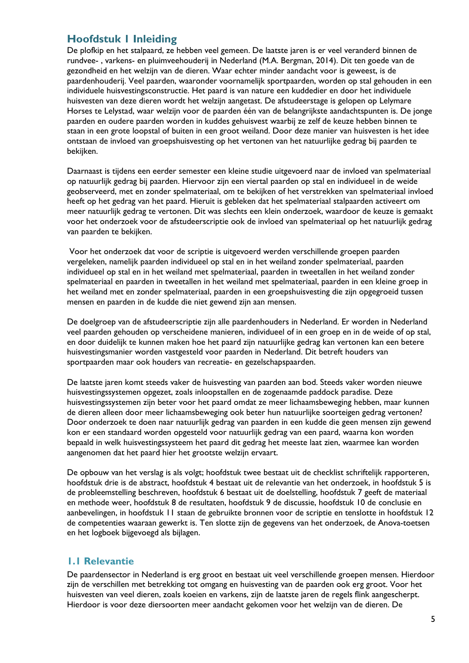## <span id="page-6-0"></span>**Hoofdstuk 1 Inleiding**

De plofkip en het stalpaard, ze hebben veel gemeen. De laatste jaren is er veel veranderd binnen de rundvee- , varkens- en pluimveehouderij in Nederland (M.A. Bergman, 2014). Dit ten goede van de gezondheid en het welzijn van de dieren. Waar echter minder aandacht voor is geweest, is de paardenhouderij. Veel paarden, waaronder voornamelijk sportpaarden, worden op stal gehouden in een individuele huisvestingsconstructie. Het paard is van nature een kuddedier en door het individuele huisvesten van deze dieren wordt het welzijn aangetast. De afstudeerstage is gelopen op Lelymare Horses te Lelystad, waar welzijn voor de paarden één van de belangrijkste aandachtspunten is. De jonge paarden en oudere paarden worden in kuddes gehuisvest waarbij ze zelf de keuze hebben binnen te staan in een grote loopstal of buiten in een groot weiland. Door deze manier van huisvesten is het idee ontstaan de invloed van groepshuisvesting op het vertonen van het natuurlijke gedrag bij paarden te bekijken.

Daarnaast is tijdens een eerder semester een kleine studie uitgevoerd naar de invloed van spelmateriaal op natuurlijk gedrag bij paarden. Hiervoor zijn een viertal paarden op stal en individueel in de weide geobserveerd, met en zonder spelmateriaal, om te bekijken of het verstrekken van spelmateriaal invloed heeft op het gedrag van het paard. Hieruit is gebleken dat het spelmateriaal stalpaarden activeert om meer natuurlijk gedrag te vertonen. Dit was slechts een klein onderzoek, waardoor de keuze is gemaakt voor het onderzoek voor de afstudeerscriptie ook de invloed van spelmateriaal op het natuurlijk gedrag van paarden te bekijken.

Voor het onderzoek dat voor de scriptie is uitgevoerd werden verschillende groepen paarden vergeleken, namelijk paarden individueel op stal en in het weiland zonder spelmateriaal, paarden individueel op stal en in het weiland met spelmateriaal, paarden in tweetallen in het weiland zonder spelmateriaal en paarden in tweetallen in het weiland met spelmateriaal, paarden in een kleine groep in het weiland met en zonder spelmateriaal, paarden in een groepshuisvesting die zijn opgegroeid tussen mensen en paarden in de kudde die niet gewend zijn aan mensen.

De doelgroep van de afstudeerscriptie zijn alle paardenhouders in Nederland. Er worden in Nederland veel paarden gehouden op verscheidene manieren, individueel of in een groep en in de weide of op stal, en door duidelijk te kunnen maken hoe het paard zijn natuurlijke gedrag kan vertonen kan een betere huisvestingsmanier worden vastgesteld voor paarden in Nederland. Dit betreft houders van sportpaarden maar ook houders van recreatie- en gezelschapspaarden.

De laatste jaren komt steeds vaker de huisvesting van paarden aan bod. Steeds vaker worden nieuwe huisvestingssystemen opgezet, zoals inloopstallen en de zogenaamde paddock paradise. Deze huisvestingssystemen zijn beter voor het paard omdat ze meer lichaamsbeweging hebben, maar kunnen de dieren alleen door meer lichaamsbeweging ook beter hun natuurlijke soorteigen gedrag vertonen? Door onderzoek te doen naar natuurlijk gedrag van paarden in een kudde die geen mensen zijn gewend kon er een standaard worden opgesteld voor natuurlijk gedrag van een paard, waarna kon worden bepaald in welk huisvestingssysteem het paard dit gedrag het meeste laat zien, waarmee kan worden aangenomen dat het paard hier het grootste welzijn ervaart.

De opbouw van het verslag is als volgt; hoofdstuk twee bestaat uit de checklist schriftelijk rapporteren, hoofdstuk drie is de abstract, hoofdstuk 4 bestaat uit de relevantie van het onderzoek, in hoofdstuk 5 is de probleemstelling beschreven, hoofdstuk 6 bestaat uit de doelstelling, hoofdstuk 7 geeft de materiaal en methode weer, hoofdstuk 8 de resultaten, hoofdstuk 9 de discussie, hoofdstuk 10 de conclusie en aanbevelingen, in hoofdstuk 11 staan de gebruikte bronnen voor de scriptie en tenslotte in hoofdstuk 12 de competenties waaraan gewerkt is. Ten slotte zijn de gegevens van het onderzoek, de Anova-toetsen en het logboek bijgevoegd als bijlagen.

### <span id="page-6-1"></span>**1.1 Relevantie**

De paardensector in Nederland is erg groot en bestaat uit veel verschillende groepen mensen. Hierdoor zijn de verschillen met betrekking tot omgang en huisvesting van de paarden ook erg groot. Voor het huisvesten van veel dieren, zoals koeien en varkens, zijn de laatste jaren de regels flink aangescherpt. Hierdoor is voor deze diersoorten meer aandacht gekomen voor het welzijn van de dieren. De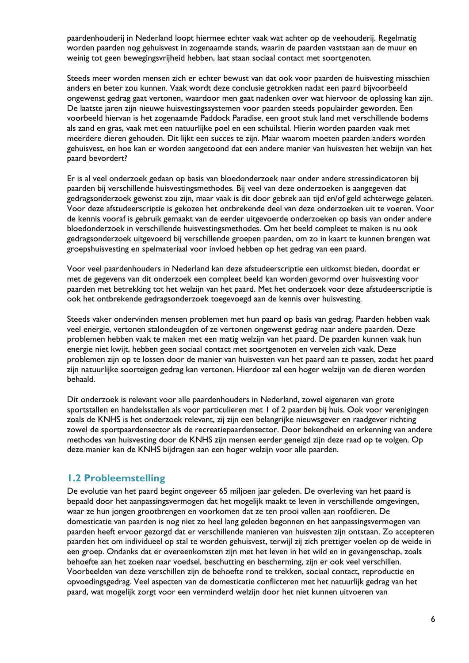paardenhouderij in Nederland loopt hiermee echter vaak wat achter op de veehouderij. Regelmatig worden paarden nog gehuisvest in zogenaamde stands, waarin de paarden vaststaan aan de muur en weinig tot geen bewegingsvrijheid hebben, laat staan sociaal contact met soortgenoten.

Steeds meer worden mensen zich er echter bewust van dat ook voor paarden de huisvesting misschien anders en beter zou kunnen. Vaak wordt deze conclusie getrokken nadat een paard bijvoorbeeld ongewenst gedrag gaat vertonen, waardoor men gaat nadenken over wat hiervoor de oplossing kan zijn. De laatste jaren zijn nieuwe huisvestingssystemen voor paarden steeds populairder geworden. Een voorbeeld hiervan is het zogenaamde Paddock Paradise, een groot stuk land met verschillende bodems als zand en gras, vaak met een natuurlijke poel en een schuilstal. Hierin worden paarden vaak met meerdere dieren gehouden. Dit lijkt een succes te zijn. Maar waarom moeten paarden anders worden gehuisvest, en hoe kan er worden aangetoond dat een andere manier van huisvesten het welzijn van het paard bevordert?

Er is al veel onderzoek gedaan op basis van bloedonderzoek naar onder andere stressindicatoren bij paarden bij verschillende huisvestingsmethodes. Bij veel van deze onderzoeken is aangegeven dat gedragsonderzoek gewenst zou zijn, maar vaak is dit door gebrek aan tijd en/of geld achterwege gelaten. Voor deze afstudeerscriptie is gekozen het ontbrekende deel van deze onderzoeken uit te voeren. Voor de kennis vooraf is gebruik gemaakt van de eerder uitgevoerde onderzoeken op basis van onder andere bloedonderzoek in verschillende huisvestingsmethodes. Om het beeld compleet te maken is nu ook gedragsonderzoek uitgevoerd bij verschillende groepen paarden, om zo in kaart te kunnen brengen wat groepshuisvesting en spelmateriaal voor invloed hebben op het gedrag van een paard.

Voor veel paardenhouders in Nederland kan deze afstudeerscriptie een uitkomst bieden, doordat er met de gegevens van dit onderzoek een compleet beeld kan worden gevormd over huisvesting voor paarden met betrekking tot het welzijn van het paard. Met het onderzoek voor deze afstudeerscriptie is ook het ontbrekende gedragsonderzoek toegevoegd aan de kennis over huisvesting.

Steeds vaker ondervinden mensen problemen met hun paard op basis van gedrag. Paarden hebben vaak veel energie, vertonen stalondeugden of ze vertonen ongewenst gedrag naar andere paarden. Deze problemen hebben vaak te maken met een matig welzijn van het paard. De paarden kunnen vaak hun energie niet kwijt, hebben geen sociaal contact met soortgenoten en vervelen zich vaak. Deze problemen zijn op te lossen door de manier van huisvesten van het paard aan te passen, zodat het paard zijn natuurlijke soorteigen gedrag kan vertonen. Hierdoor zal een hoger welzijn van de dieren worden behaald.

Dit onderzoek is relevant voor alle paardenhouders in Nederland, zowel eigenaren van grote sportstallen en handelsstallen als voor particulieren met 1 of 2 paarden bij huis. Ook voor verenigingen zoals de KNHS is het onderzoek relevant, zij zijn een belangrijke nieuwsgever en raadgever richting zowel de sportpaardensector als de recreatiepaardensector. Door bekendheid en erkenning van andere methodes van huisvesting door de KNHS zijn mensen eerder geneigd zijn deze raad op te volgen. Op deze manier kan de KNHS bijdragen aan een hoger welzijn voor alle paarden.

### <span id="page-7-0"></span>**1.2 Probleemstelling**

De evolutie van het paard begint ongeveer 65 miljoen jaar geleden. De overleving van het paard is bepaald door het aanpassingsvermogen dat het mogelijk maakt te leven in verschillende omgevingen, waar ze hun jongen grootbrengen en voorkomen dat ze ten prooi vallen aan roofdieren. De domesticatie van paarden is nog niet zo heel lang geleden begonnen en het aanpassingsvermogen van paarden heeft ervoor gezorgd dat er verschillende manieren van huisvesten zijn ontstaan. Zo accepteren paarden het om individueel op stal te worden gehuisvest, terwijl zij zich prettiger voelen op de weide in een groep. Ondanks dat er overeenkomsten zijn met het leven in het wild en in gevangenschap, zoals behoefte aan het zoeken naar voedsel, beschutting en bescherming, zijn er ook veel verschillen. Voorbeelden van deze verschillen zijn de behoefte rond te trekken, sociaal contact, reproductie en opvoedingsgedrag. Veel aspecten van de domesticatie conflicteren met het natuurlijk gedrag van het paard, wat mogelijk zorgt voor een verminderd welzijn door het niet kunnen uitvoeren van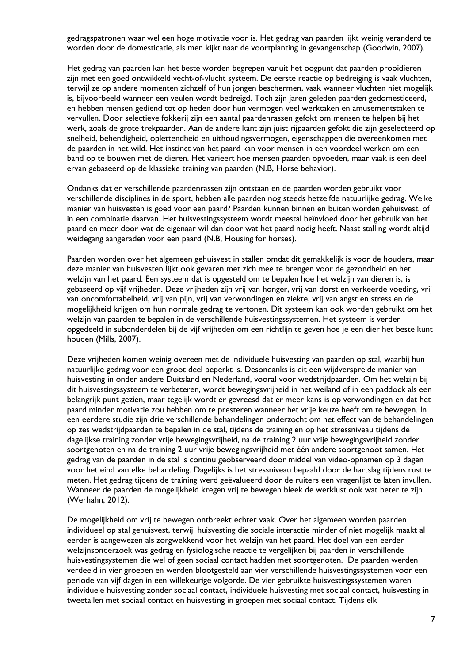gedragspatronen waar wel een hoge motivatie voor is. Het gedrag van paarden lijkt weinig veranderd te worden door de domesticatie, als men kijkt naar de voortplanting in gevangenschap (Goodwin, 2007).

Het gedrag van paarden kan het beste worden begrepen vanuit het oogpunt dat paarden prooidieren zijn met een goed ontwikkeld vecht-of-vlucht systeem. De eerste reactie op bedreiging is vaak vluchten, terwijl ze op andere momenten zichzelf of hun jongen beschermen, vaak wanneer vluchten niet mogelijk is, bijvoorbeeld wanneer een veulen wordt bedreigd. Toch zijn jaren geleden paarden gedomesticeerd, en hebben mensen gediend tot op heden door hun vermogen veel werktaken en amusementstaken te vervullen. Door selectieve fokkerij zijn een aantal paardenrassen gefokt om mensen te helpen bij het werk, zoals de grote trekpaarden. Aan de andere kant zijn juist rijpaarden gefokt die zijn geselecteerd op snelheid, behendigheid, oplettendheid en uithoudingsvermogen, eigenschappen die overeenkomen met de paarden in het wild. Het instinct van het paard kan voor mensen in een voordeel werken om een band op te bouwen met de dieren. Het varieert hoe mensen paarden opvoeden, maar vaak is een deel ervan gebaseerd op de klassieke training van paarden (N.B, Horse behavior).

Ondanks dat er verschillende paardenrassen zijn ontstaan en de paarden worden gebruikt voor verschillende disciplines in de sport, hebben alle paarden nog steeds hetzelfde natuurlijke gedrag. Welke manier van huisvesten is goed voor een paard? Paarden kunnen binnen en buiten worden gehuisvest, of in een combinatie daarvan. Het huisvestingssysteem wordt meestal beïnvloed door het gebruik van het paard en meer door wat de eigenaar wil dan door wat het paard nodig heeft. Naast stalling wordt altijd weidegang aangeraden voor een paard (N.B, Housing for horses).

Paarden worden over het algemeen gehuisvest in stallen omdat dit gemakkelijk is voor de houders, maar deze manier van huisvesten lijkt ook gevaren met zich mee te brengen voor de gezondheid en het welzijn van het paard. Een systeem dat is opgesteld om te bepalen hoe het welzijn van dieren is, is gebaseerd op vijf vrijheden. Deze vrijheden zijn vrij van honger, vrij van dorst en verkeerde voeding, vrij van oncomfortabelheid, vrij van pijn, vrij van verwondingen en ziekte, vrij van angst en stress en de mogelijkheid krijgen om hun normale gedrag te vertonen. Dit systeem kan ook worden gebruikt om het welzijn van paarden te bepalen in de verschillende huisvestingssystemen. Het systeem is verder opgedeeld in subonderdelen bij de vijf vrijheden om een richtlijn te geven hoe je een dier het beste kunt houden (Mills, 2007).

Deze vrijheden komen weinig overeen met de individuele huisvesting van paarden op stal, waarbij hun natuurlijke gedrag voor een groot deel beperkt is. Desondanks is dit een wijdverspreide manier van huisvesting in onder andere Duitsland en Nederland, vooral voor wedstrijdpaarden. Om het welzijn bij dit huisvestingssysteem te verbeteren, wordt bewegingsvrijheid in het weiland of in een paddock als een belangrijk punt gezien, maar tegelijk wordt er gevreesd dat er meer kans is op verwondingen en dat het paard minder motivatie zou hebben om te presteren wanneer het vrije keuze heeft om te bewegen. In een eerdere studie zijn drie verschillende behandelingen onderzocht om het effect van de behandelingen op zes wedstrijdpaarden te bepalen in de stal, tijdens de training en op het stressniveau tijdens de dagelijkse training zonder vrije bewegingsvrijheid, na de training 2 uur vrije bewegingsvrijheid zonder soortgenoten en na de training 2 uur vrije bewegingsvrijheid met één andere soortgenoot samen. Het gedrag van de paarden in de stal is continu geobserveerd door middel van video-opnamen op 3 dagen voor het eind van elke behandeling. Dagelijks is het stressniveau bepaald door de hartslag tijdens rust te meten. Het gedrag tijdens de training werd geëvalueerd door de ruiters een vragenlijst te laten invullen. Wanneer de paarden de mogelijkheid kregen vrij te bewegen bleek de werklust ook wat beter te zijn (Werhahn, 2012).

De mogelijkheid om vrij te bewegen ontbreekt echter vaak. Over het algemeen worden paarden individueel op stal gehuisvest, terwijl huisvesting die sociale interactie minder of niet mogelijk maakt al eerder is aangewezen als zorgwekkend voor het welzijn van het paard. Het doel van een eerder welzijnsonderzoek was gedrag en fysiologische reactie te vergelijken bij paarden in verschillende huisvestingsystemen die wel of geen sociaal contact hadden met soortgenoten. De paarden werden verdeeld in vier groepen en werden blootgesteld aan vier verschillende huisvestingssystemen voor een periode van vijf dagen in een willekeurige volgorde. De vier gebruikte huisvestingssystemen waren individuele huisvesting zonder sociaal contact, individuele huisvesting met sociaal contact, huisvesting in tweetallen met sociaal contact en huisvesting in groepen met sociaal contact. Tijdens elk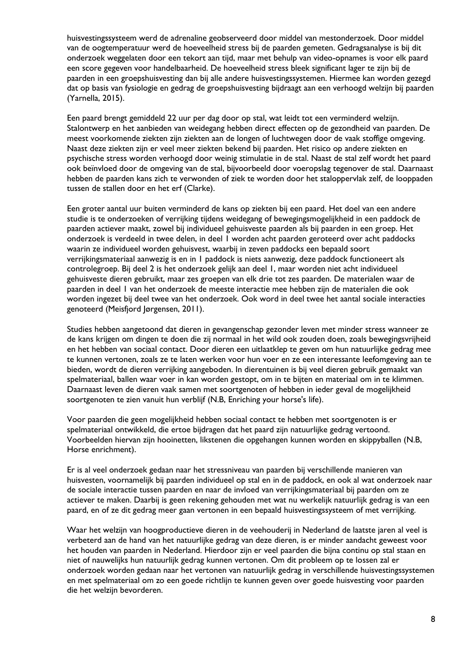huisvestingssysteem werd de adrenaline geobserveerd door middel van mestonderzoek. Door middel van de oogtemperatuur werd de hoeveelheid stress bij de paarden gemeten. Gedragsanalyse is bij dit onderzoek weggelaten door een tekort aan tijd, maar met behulp van video-opnames is voor elk paard een score gegeven voor handelbaarheid. De hoeveelheid stress bleek significant lager te zijn bij de paarden in een groepshuisvesting dan bij alle andere huisvestingssystemen. Hiermee kan worden gezegd dat op basis van fysiologie en gedrag de groepshuisvesting bijdraagt aan een verhoogd welzijn bij paarden (Yarnella, 2015).

Een paard brengt gemiddeld 22 uur per dag door op stal, wat leidt tot een verminderd welzijn. Stalontwerp en het aanbieden van weidegang hebben direct effecten op de gezondheid van paarden. De meest voorkomende ziekten zijn ziekten aan de longen of luchtwegen door de vaak stoffige omgeving. Naast deze ziekten zijn er veel meer ziekten bekend bij paarden. Het risico op andere ziekten en psychische stress worden verhoogd door weinig stimulatie in de stal. Naast de stal zelf wordt het paard ook beïnvloed door de omgeving van de stal, bijvoorbeeld door voeropslag tegenover de stal. Daarnaast hebben de paarden kans zich te verwonden of ziek te worden door het staloppervlak zelf, de looppaden tussen de stallen door en het erf (Clarke).

Een groter aantal uur buiten verminderd de kans op ziekten bij een paard. Het doel van een andere studie is te onderzoeken of verrijking tijdens weidegang of bewegingsmogelijkheid in een paddock de paarden actiever maakt, zowel bij individueel gehuisveste paarden als bij paarden in een groep. Het onderzoek is verdeeld in twee delen, in deel 1 worden acht paarden geroteerd over acht paddocks waarin ze individueel worden gehuisvest, waarbij in zeven paddocks een bepaald soort verrijkingsmateriaal aanwezig is en in 1 paddock is niets aanwezig, deze paddock functioneert als controlegroep. Bij deel 2 is het onderzoek gelijk aan deel 1, maar worden niet acht individueel gehuisveste dieren gebruikt, maar zes groepen van elk drie tot zes paarden. De materialen waar de paarden in deel 1 van het onderzoek de meeste interactie mee hebben zijn de materialen die ook worden ingezet bij deel twee van het onderzoek. Ook word in deel twee het aantal sociale interacties genoteerd (Meisfjord Jørgensen, 2011).

Studies hebben aangetoond dat dieren in gevangenschap gezonder leven met minder stress wanneer ze de kans krijgen om dingen te doen die zij normaal in het wild ook zouden doen, zoals bewegingsvrijheid en het hebben van sociaal contact. Door dieren een uitlaatklep te geven om hun natuurlijke gedrag mee te kunnen vertonen, zoals ze te laten werken voor hun voer en ze een interessante leefomgeving aan te bieden, wordt de dieren verrijking aangeboden. In dierentuinen is bij veel dieren gebruik gemaakt van spelmateriaal, ballen waar voer in kan worden gestopt, om in te bijten en materiaal om in te klimmen. Daarnaast leven de dieren vaak samen met soortgenoten of hebben in ieder geval de mogelijkheid soortgenoten te zien vanuit hun verblijf (N.B, Enriching your horse's life).

Voor paarden die geen mogelijkheid hebben sociaal contact te hebben met soortgenoten is er spelmateriaal ontwikkeld, die ertoe bijdragen dat het paard zijn natuurlijke gedrag vertoond. Voorbeelden hiervan zijn hooinetten, likstenen die opgehangen kunnen worden en skippyballen (N.B, Horse enrichment).

Er is al veel onderzoek gedaan naar het stressniveau van paarden bij verschillende manieren van huisvesten, voornamelijk bij paarden individueel op stal en in de paddock, en ook al wat onderzoek naar de sociale interactie tussen paarden en naar de invloed van verrijkingsmateriaal bij paarden om ze actiever te maken. Daarbij is geen rekening gehouden met wat nu werkelijk natuurlijk gedrag is van een paard, en of ze dit gedrag meer gaan vertonen in een bepaald huisvestingssysteem of met verrijking.

Waar het welzijn van hoogproductieve dieren in de veehouderij in Nederland de laatste jaren al veel is verbeterd aan de hand van het natuurlijke gedrag van deze dieren, is er minder aandacht geweest voor het houden van paarden in Nederland. Hierdoor zijn er veel paarden die bijna continu op stal staan en niet of nauwelijks hun natuurlijk gedrag kunnen vertonen. Om dit probleem op te lossen zal er onderzoek worden gedaan naar het vertonen van natuurlijk gedrag in verschillende huisvestingssystemen en met spelmateriaal om zo een goede richtlijn te kunnen geven over goede huisvesting voor paarden die het welzijn bevorderen.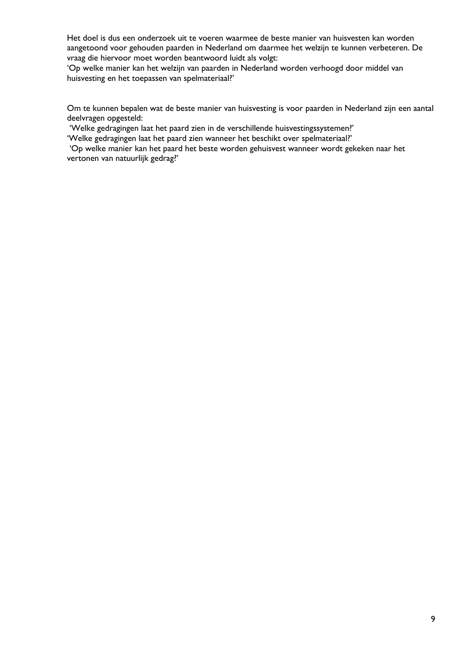Het doel is dus een onderzoek uit te voeren waarmee de beste manier van huisvesten kan worden aangetoond voor gehouden paarden in Nederland om daarmee het welzijn te kunnen verbeteren. De vraag die hiervoor moet worden beantwoord luidt als volgt:

'Op welke manier kan het welzijn van paarden in Nederland worden verhoogd door middel van huisvesting en het toepassen van spelmateriaal?'

Om te kunnen bepalen wat de beste manier van huisvesting is voor paarden in Nederland zijn een aantal deelvragen opgesteld:

'Welke gedragingen laat het paard zien in de verschillende huisvestingssystemen?'

'Welke gedragingen laat het paard zien wanneer het beschikt over spelmateriaal?'

'Op welke manier kan het paard het beste worden gehuisvest wanneer wordt gekeken naar het vertonen van natuurlijk gedrag?'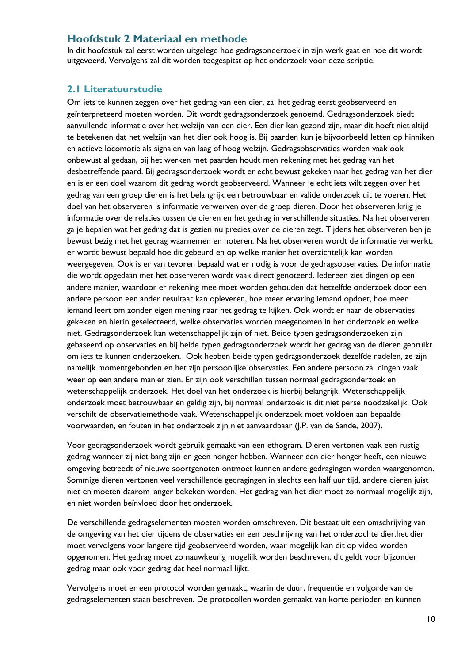## <span id="page-11-0"></span>**Hoofdstuk 2 Materiaal en methode**

In dit hoofdstuk zal eerst worden uitgelegd hoe gedragsonderzoek in zijn werk gaat en hoe dit wordt uitgevoerd. Vervolgens zal dit worden toegespitst op het onderzoek voor deze scriptie.

### <span id="page-11-1"></span>**2.1 Literatuurstudie**

Om iets te kunnen zeggen over het gedrag van een dier, zal het gedrag eerst geobserveerd en geïnterpreteerd moeten worden. Dit wordt gedragsonderzoek genoemd. Gedragsonderzoek biedt aanvullende informatie over het welzijn van een dier. Een dier kan gezond zijn, maar dit hoeft niet altijd te betekenen dat het welzijn van het dier ook hoog is. Bij paarden kun je bijvoorbeeld letten op hinniken en actieve locomotie als signalen van laag of hoog welzijn. Gedragsobservaties worden vaak ook onbewust al gedaan, bij het werken met paarden houdt men rekening met het gedrag van het desbetreffende paard. Bij gedragsonderzoek wordt er echt bewust gekeken naar het gedrag van het dier en is er een doel waarom dit gedrag wordt geobserveerd. Wanneer je echt iets wilt zeggen over het gedrag van een groep dieren is het belangrijk een betrouwbaar en valide onderzoek uit te voeren. Het doel van het observeren is informatie verwerven over de groep dieren. Door het observeren krijg je informatie over de relaties tussen de dieren en het gedrag in verschillende situaties. Na het observeren ga je bepalen wat het gedrag dat is gezien nu precies over de dieren zegt. Tijdens het observeren ben je bewust bezig met het gedrag waarnemen en noteren. Na het observeren wordt de informatie verwerkt, er wordt bewust bepaald hoe dit gebeurd en op welke manier het overzichtelijk kan worden weergegeven. Ook is er van tevoren bepaald wat er nodig is voor de gedragsobservaties. De informatie die wordt opgedaan met het observeren wordt vaak direct genoteerd. Iedereen ziet dingen op een andere manier, waardoor er rekening mee moet worden gehouden dat hetzelfde onderzoek door een andere persoon een ander resultaat kan opleveren, hoe meer ervaring iemand opdoet, hoe meer iemand leert om zonder eigen mening naar het gedrag te kijken. Ook wordt er naar de observaties gekeken en hierin geselecteerd, welke observaties worden meegenomen in het onderzoek en welke niet. Gedragsonderzoek kan wetenschappelijk zijn of niet. Beide typen gedragsonderzoeken zijn gebaseerd op observaties en bij beide typen gedragsonderzoek wordt het gedrag van de dieren gebruikt om iets te kunnen onderzoeken. Ook hebben beide typen gedragsonderzoek dezelfde nadelen, ze zijn namelijk momentgebonden en het zijn persoonlijke observaties. Een andere persoon zal dingen vaak weer op een andere manier zien. Er zijn ook verschillen tussen normaal gedragsonderzoek en wetenschappelijk onderzoek. Het doel van het onderzoek is hierbij belangrijk. Wetenschappelijk onderzoek moet betrouwbaar en geldig zijn, bij normaal onderzoek is dit niet perse noodzakelijk. Ook verschilt de observatiemethode vaak. Wetenschappelijk onderzoek moet voldoen aan bepaalde voorwaarden, en fouten in het onderzoek zijn niet aanvaardbaar (J.P. van de Sande, 2007).

Voor gedragsonderzoek wordt gebruik gemaakt van een ethogram. Dieren vertonen vaak een rustig gedrag wanneer zij niet bang zijn en geen honger hebben. Wanneer een dier honger heeft, een nieuwe omgeving betreedt of nieuwe soortgenoten ontmoet kunnen andere gedragingen worden waargenomen. Sommige dieren vertonen veel verschillende gedragingen in slechts een half uur tijd, andere dieren juist niet en moeten daarom langer bekeken worden. Het gedrag van het dier moet zo normaal mogelijk zijn, en niet worden beïnvloed door het onderzoek.

De verschillende gedragselementen moeten worden omschreven. Dit bestaat uit een omschrijving van de omgeving van het dier tijdens de observaties en een beschrijving van het onderzochte dier.het dier moet vervolgens voor langere tijd geobserveerd worden, waar mogelijk kan dit op video worden opgenomen. Het gedrag moet zo nauwkeurig mogelijk worden beschreven, dit geldt voor bijzonder gedrag maar ook voor gedrag dat heel normaal lijkt.

Vervolgens moet er een protocol worden gemaakt, waarin de duur, frequentie en volgorde van de gedragselementen staan beschreven. De protocollen worden gemaakt van korte perioden en kunnen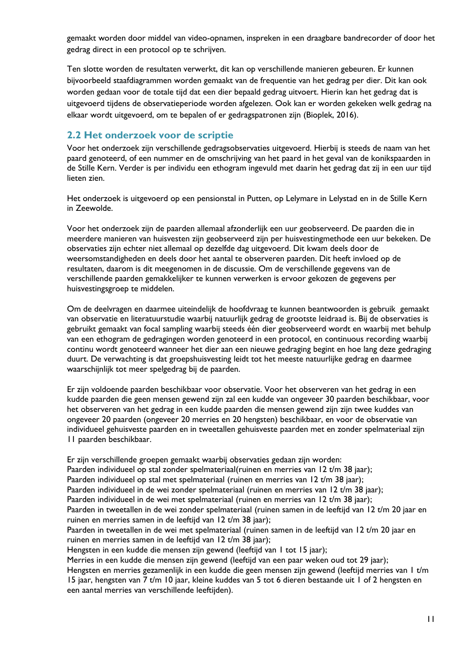gemaakt worden door middel van video-opnamen, inspreken in een draagbare bandrecorder of door het gedrag direct in een protocol op te schrijven.

Ten slotte worden de resultaten verwerkt, dit kan op verschillende manieren gebeuren. Er kunnen bijvoorbeeld staafdiagrammen worden gemaakt van de frequentie van het gedrag per dier. Dit kan ook worden gedaan voor de totale tijd dat een dier bepaald gedrag uitvoert. Hierin kan het gedrag dat is uitgevoerd tijdens de observatieperiode worden afgelezen. Ook kan er worden gekeken welk gedrag na elkaar wordt uitgevoerd, om te bepalen of er gedragspatronen zijn (Bioplek, 2016).

## <span id="page-12-0"></span>**2.2 Het onderzoek voor de scriptie**

Voor het onderzoek zijn verschillende gedragsobservaties uitgevoerd. Hierbij is steeds de naam van het paard genoteerd, of een nummer en de omschrijving van het paard in het geval van de konikspaarden in de Stille Kern. Verder is per individu een ethogram ingevuld met daarin het gedrag dat zij in een uur tijd lieten zien.

Het onderzoek is uitgevoerd op een pensionstal in Putten, op Lelymare in Lelystad en in de Stille Kern in Zeewolde.

Voor het onderzoek zijn de paarden allemaal afzonderlijk een uur geobserveerd. De paarden die in meerdere manieren van huisvesten zijn geobserveerd zijn per huisvestingmethode een uur bekeken. De observaties zijn echter niet allemaal op dezelfde dag uitgevoerd. Dit kwam deels door de weersomstandigheden en deels door het aantal te observeren paarden. Dit heeft invloed op de resultaten, daarom is dit meegenomen in de discussie. Om de verschillende gegevens van de verschillende paarden gemakkelijker te kunnen verwerken is ervoor gekozen de gegevens per huisvestingsgroep te middelen.

Om de deelvragen en daarmee uiteindelijk de hoofdvraag te kunnen beantwoorden is gebruik gemaakt van observatie en literatuurstudie waarbij natuurlijk gedrag de grootste leidraad is. Bij de observaties is gebruikt gemaakt van focal sampling waarbij steeds één dier geobserveerd wordt en waarbij met behulp van een ethogram de gedragingen worden genoteerd in een protocol, en continuous recording waarbij continu wordt genoteerd wanneer het dier aan een nieuwe gedraging begint en hoe lang deze gedraging duurt. De verwachting is dat groepshuisvesting leidt tot het meeste natuurlijke gedrag en daarmee waarschijnlijk tot meer spelgedrag bij de paarden.

Er zijn voldoende paarden beschikbaar voor observatie. Voor het observeren van het gedrag in een kudde paarden die geen mensen gewend zijn zal een kudde van ongeveer 30 paarden beschikbaar, voor het observeren van het gedrag in een kudde paarden die mensen gewend zijn zijn twee kuddes van ongeveer 20 paarden (ongeveer 20 merries en 20 hengsten) beschikbaar, en voor de observatie van individueel gehuisveste paarden en in tweetallen gehuisveste paarden met en zonder spelmateriaal zijn 11 paarden beschikbaar.

Er zijn verschillende groepen gemaakt waarbij observaties gedaan zijn worden:

Paarden individueel op stal zonder spelmateriaal(ruinen en merries van 12 t/m 38 jaar);

Paarden individueel op stal met spelmateriaal (ruinen en merries van 12 t/m 38 jaar);

Paarden individueel in de wei zonder spelmateriaal (ruinen en merries van 12 t/m 38 jaar);

Paarden individueel in de wei met spelmateriaal (ruinen en merries van 12 t/m 38 jaar);

Paarden in tweetallen in de wei zonder spelmateriaal (ruinen samen in de leeftijd van 12 t/m 20 jaar en ruinen en merries samen in de leeftijd van 12 t/m 38 jaar);

Paarden in tweetallen in de wei met spelmateriaal (ruinen samen in de leeftijd van 12 t/m 20 jaar en ruinen en merries samen in de leeftijd van 12 t/m 38 jaar);

Hengsten in een kudde die mensen zijn gewend (leeftijd van 1 tot 15 jaar);

Merries in een kudde die mensen zijn gewend (leeftijd van een paar weken oud tot 29 jaar);

Hengsten en merries gezamenlijk in een kudde die geen mensen zijn gewend (leeftijd merries van 1 t/m 15 jaar, hengsten van 7 t/m 10 jaar, kleine kuddes van 5 tot 6 dieren bestaande uit 1 of 2 hengsten en een aantal merries van verschillende leeftijden).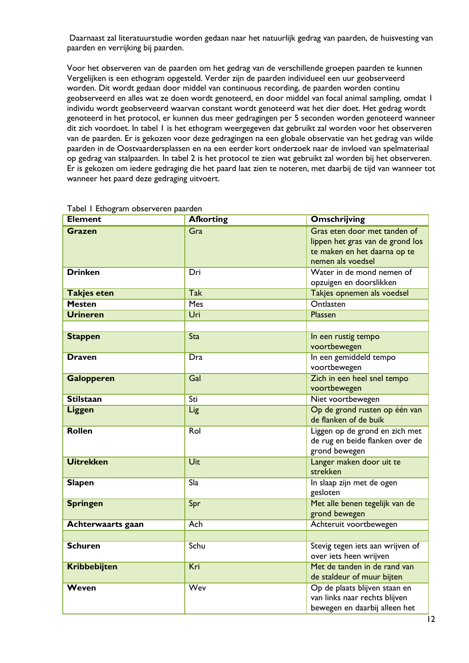Daarnaast zal literatuurstudie worden gedaan naar het natuurlijk gedrag van paarden, de huisvesting van paarden en verrijking bij paarden.

Voor het observeren van de paarden om het gedrag van de verschillende groepen paarden te kunnen Vergelijken is een ethogram opgesteld. Verder zijn de paarden individueel een uur geobserveerd worden. Dit wordt gedaan door middel van continuous recording, de paarden worden continu geobserveerd en alles wat ze doen wordt genoteerd, en door middel van focal animal sampling, omdat 1 individu wordt geobserveerd waarvan constant wordt genoteerd wat het dier doet. Het gedrag wordt genoteerd in het protocol, er kunnen dus meer gedragingen per 5 seconden worden genoteerd wanneer dit zich voordoet. In tabel 1 is het ethogram weergegeven dat gebruikt zal worden voor het observeren van de paarden. Er is gekozen voor deze gedragingen na een globale observatie van het gedrag van wilde paarden in de Oostvaardersplassen en na een eerder kort onderzoek naar de invloed van spelmateriaal op gedrag van stalpaarden. In tabel 2 is het protocol te zien wat gebruikt zal worden bij het observeren. Er is gekozen om iedere gedraging die het paard laat zien te noteren, met daarbij de tijd van wanneer tot wanneer het paard deze gedraging uitvoert.

| <b>Element</b>     | <b>Afkorting</b>  | Omschrijving                                                                                                          |
|--------------------|-------------------|-----------------------------------------------------------------------------------------------------------------------|
| Grazen             | Gra               | Gras eten door met tanden of<br>lippen het gras van de grond los<br>te maken en het daarna op te<br>nemen als voedsel |
| <b>Drinken</b>     | Dri               | Water in de mond nemen of<br>opzuigen en doorslikken                                                                  |
| <b>Takjes eten</b> | <b>Tak</b>        | Takjes opnemen als voedsel                                                                                            |
| <b>Mesten</b>      | <b>Mes</b>        | <b>Ontlasten</b>                                                                                                      |
| <b>Urineren</b>    | Uri               | <b>Plassen</b>                                                                                                        |
|                    |                   |                                                                                                                       |
| <b>Stappen</b>     | <b>Sta</b>        | In een rustig tempo<br>voortbewegen                                                                                   |
| <b>Draven</b>      | Dra               | In een gemiddeld tempo<br>voortbewegen                                                                                |
| <b>Galopperen</b>  | Gal               | Zich in een heel snel tempo<br>voortbewegen                                                                           |
| <b>Stilstaan</b>   | Sti               | Niet voortbewegen                                                                                                     |
| Liggen             | Lig               | Op de grond rusten op één van<br>de flanken of de buik                                                                |
| <b>Rollen</b>      | Rol               | Liggen op de grond en zich met<br>de rug en beide flanken over de<br>grond bewegen                                    |
| <b>Uitrekken</b>   | Uit               | Langer maken door uit te<br>strekken                                                                                  |
| <b>Slapen</b>      | $\overline{S}$ la | In slaap zijn met de ogen<br>gesloten                                                                                 |
| <b>Springen</b>    | Spr               | Met alle benen tegelijk van de<br>grond bewegen                                                                       |
| Achterwaarts gaan  | <b>Ach</b>        | Achteruit voortbewegen                                                                                                |
|                    |                   |                                                                                                                       |
| <b>Schuren</b>     | Schu              | Stevig tegen iets aan wrijven of<br>over iets heen wrijven                                                            |
| Kribbebijten       | Kri               | Met de tanden in de rand van<br>de staldeur of muur bijten                                                            |
| Weven              | <b>Wev</b>        | Op de plaats blijven staan en<br>van links naar rechts blijven<br>bewegen en daarbij alleen het                       |

#### Tabel 1 Ethogram observeren paarden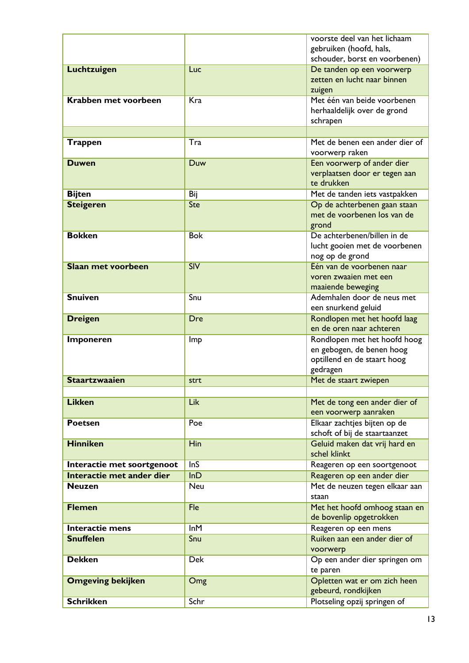|                            |            | voorste deel van het lichaam<br>gebruiken (hoofd, hals, |
|----------------------------|------------|---------------------------------------------------------|
|                            |            | schouder, borst en voorbenen)                           |
| Luchtzuigen                | Luc        | De tanden op een voorwerp                               |
|                            |            | zetten en lucht naar binnen                             |
|                            |            | zuigen                                                  |
| Krabben met voorbeen       | Kra        | Met één van beide voorbenen                             |
|                            |            | herhaaldelijk over de grond                             |
|                            |            | schrapen                                                |
|                            |            |                                                         |
| <b>Trappen</b>             | Tra        | Met de benen een ander dier of                          |
|                            |            | voorwerp raken                                          |
| <b>Duwen</b>               | Duw        | Een voorwerp of ander dier                              |
|                            |            | verplaatsen door er tegen aan                           |
|                            |            | te drukken                                              |
| <b>Bijten</b>              | Bij        | Met de tanden iets vastpakken                           |
| <b>Steigeren</b>           | <b>Ste</b> | Op de achterbenen gaan staan                            |
|                            |            | met de voorbenen los van de<br>grond                    |
| <b>Bokken</b>              | <b>Bok</b> | De achterbenen/billen in de                             |
|                            |            | lucht gooien met de voorbenen                           |
|                            |            | nog op de grond                                         |
| <b>Slaan met voorbeen</b>  | SIV        | Één van de voorbenen naar                               |
|                            |            | voren zwaaien met een                                   |
|                            |            | maaiende beweging                                       |
| <b>Snuiven</b>             | Snu        | Ademhalen door de neus met                              |
|                            |            | een snurkend geluid                                     |
| <b>Dreigen</b>             | Dre        | Rondlopen met het hoofd laag                            |
|                            |            | en de oren naar achteren                                |
| <b>Imponeren</b>           | Imp        | Rondlopen met het hoofd hoog                            |
|                            |            | en gebogen, de benen hoog                               |
|                            |            | optillend en de staart hoog                             |
|                            |            | gedragen                                                |
| <b>Staartzwaaien</b>       | strt       | Met de staart zwiepen                                   |
|                            |            |                                                         |
| <b>Likken</b>              | Lik        | Met de tong een ander dier of<br>een voorwerp aanraken  |
| <b>Poetsen</b>             | Poe        | Elkaar zachtjes bijten op de                            |
|                            |            | schoft of bij de staartaanzet                           |
| <b>Hinniken</b>            | <b>Hin</b> | Geluid maken dat vrij hard en                           |
|                            |            | schel klinkt                                            |
| Interactie met soortgenoot | <b>InS</b> | Reageren op een soortgenoot                             |
| Interactie met ander dier  | InD        | Reageren op een ander dier                              |
| <b>Neuzen</b>              | <b>Neu</b> | Met de neuzen tegen elkaar aan                          |
|                            |            | staan                                                   |
| <b>Flemen</b>              | Fle        | Met het hoofd omhoog staan en                           |
|                            |            | de bovenlip opgetrokken                                 |
| Interactie mens            | InM        | Reageren op een mens                                    |
| <b>Snuffelen</b>           | Snu        | Ruiken aan een ander dier of                            |
|                            |            | voorwerp                                                |
| <b>Dekken</b>              | <b>Dek</b> | Op een ander dier springen om                           |
|                            |            | te paren                                                |
| <b>Omgeving bekijken</b>   | Omg        | Opletten wat er om zich heen                            |
|                            |            | gebeurd, rondkijken                                     |
| <b>Schrikken</b>           | Schr       | Plotseling opzij springen of                            |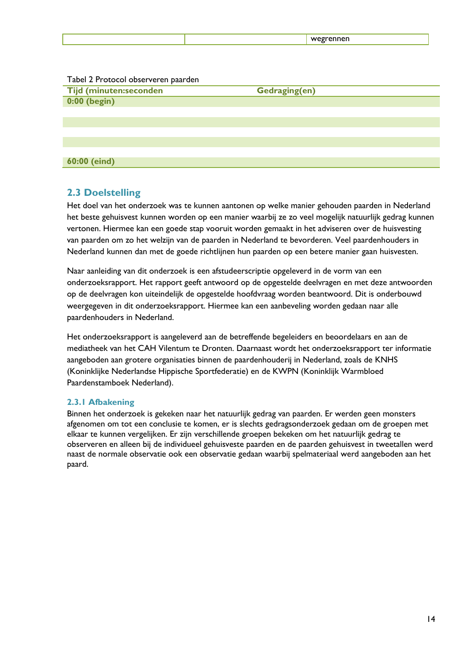#### Tabel 2 Protocol observeren paarden

| <b>Tijd (minuten:seconden</b> | <b>Gedraging(en)</b> |
|-------------------------------|----------------------|
| 0:00 (begin)                  |                      |
|                               |                      |
|                               |                      |
|                               |                      |
|                               |                      |
|                               |                      |

## <span id="page-15-0"></span>**2.3 Doelstelling**

**60:00 (eind)**

Het doel van het onderzoek was te kunnen aantonen op welke manier gehouden paarden in Nederland het beste gehuisvest kunnen worden op een manier waarbij ze zo veel mogelijk natuurlijk gedrag kunnen vertonen. Hiermee kan een goede stap vooruit worden gemaakt in het adviseren over de huisvesting van paarden om zo het welzijn van de paarden in Nederland te bevorderen. Veel paardenhouders in Nederland kunnen dan met de goede richtlijnen hun paarden op een betere manier gaan huisvesten.

Naar aanleiding van dit onderzoek is een afstudeerscriptie opgeleverd in de vorm van een onderzoeksrapport. Het rapport geeft antwoord op de opgestelde deelvragen en met deze antwoorden op de deelvragen kon uiteindelijk de opgestelde hoofdvraag worden beantwoord. Dit is onderbouwd weergegeven in dit onderzoeksrapport. Hiermee kan een aanbeveling worden gedaan naar alle paardenhouders in Nederland.

Het onderzoeksrapport is aangeleverd aan de betreffende begeleiders en beoordelaars en aan de mediatheek van het CAH Vilentum te Dronten. Daarnaast wordt het onderzoeksrapport ter informatie aangeboden aan grotere organisaties binnen de paardenhouderij in Nederland, zoals de KNHS (Koninklijke Nederlandse Hippische Sportfederatie) en de KWPN (Koninklijk Warmbloed Paardenstamboek Nederland).

#### <span id="page-15-1"></span>**2.3.1 Afbakening**

Binnen het onderzoek is gekeken naar het natuurlijk gedrag van paarden. Er werden geen monsters afgenomen om tot een conclusie te komen, er is slechts gedragsonderzoek gedaan om de groepen met elkaar te kunnen vergelijken. Er zijn verschillende groepen bekeken om het natuurlijk gedrag te observeren en alleen bij de individueel gehuisveste paarden en de paarden gehuisvest in tweetallen werd naast de normale observatie ook een observatie gedaan waarbij spelmateriaal werd aangeboden aan het paard.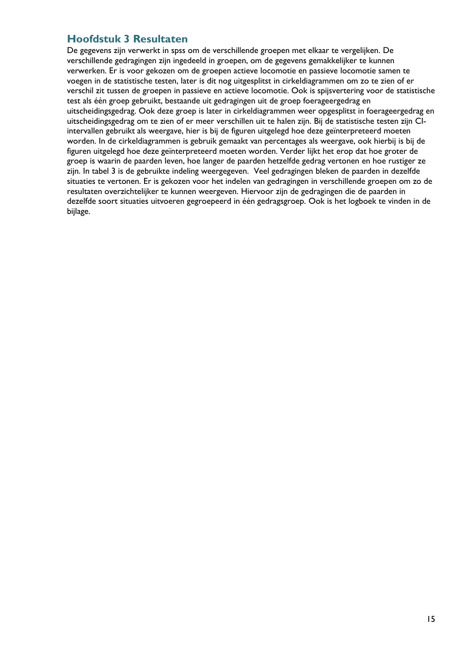## <span id="page-16-0"></span>**Hoofdstuk 3 Resultaten**

De gegevens zijn verwerkt in spss om de verschillende groepen met elkaar te vergelijken. De verschillende gedragingen zijn ingedeeld in groepen, om de gegevens gemakkelijker te kunnen verwerken. Er is voor gekozen om de groepen actieve locomotie en passieve locomotie samen te voegen in de statistische testen, later is dit nog uitgesplitst in cirkeldiagrammen om zo te zien of er verschil zit tussen de groepen in passieve en actieve locomotie. Ook is spijsvertering voor de statistische test als één groep gebruikt, bestaande uit gedragingen uit de groep foerageergedrag en uitscheidingsgedrag. Ook deze groep is later in cirkeldiagrammen weer opgesplitst in foerageergedrag en uitscheidingsgedrag om te zien of er meer verschillen uit te halen zijn. Bij de statistische testen zijn CIintervallen gebruikt als weergave, hier is bij de figuren uitgelegd hoe deze geïnterpreteerd moeten worden. In de cirkeldiagrammen is gebruik gemaakt van percentages als weergave, ook hierbij is bij de figuren uitgelegd hoe deze geïnterpreteerd moeten worden. Verder lijkt het erop dat hoe groter de groep is waarin de paarden leven, hoe langer de paarden hetzelfde gedrag vertonen en hoe rustiger ze zijn. In tabel 3 is de gebruikte indeling weergegeven. Veel gedragingen bleken de paarden in dezelfde situaties te vertonen. Er is gekozen voor het indelen van gedragingen in verschillende groepen om zo de resultaten overzichtelijker te kunnen weergeven. Hiervoor zijn de gedragingen die de paarden in dezelfde soort situaties uitvoeren gegroepeerd in één gedragsgroep. Ook is het logboek te vinden in de bijlage.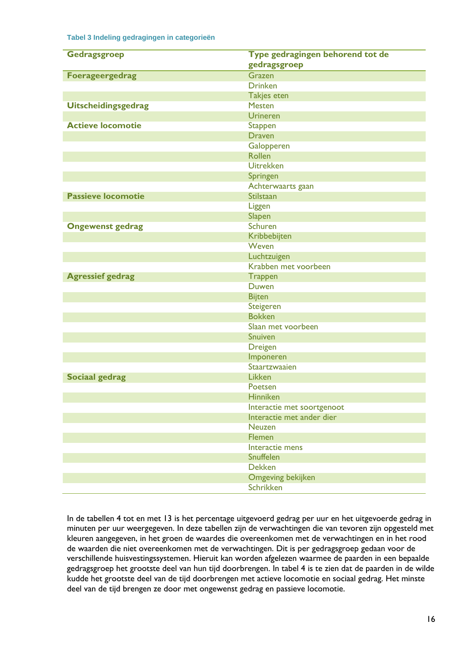#### **Tabel 3 Indeling gedragingen in categorieën**

| Gedragsgroep               | Type gedragingen behorend tot de<br>gedragsgroep |
|----------------------------|--------------------------------------------------|
| <b>Foerageergedrag</b>     | Grazen                                           |
|                            | <b>Drinken</b>                                   |
|                            | <b>Takjes eten</b>                               |
| <b>Uitscheidingsgedrag</b> | <b>Mesten</b>                                    |
|                            | <b>Urineren</b>                                  |
| <b>Actieve locomotie</b>   | <b>Stappen</b>                                   |
|                            | <b>Draven</b>                                    |
|                            | Galopperen                                       |
|                            | <b>Rollen</b>                                    |
|                            | <b>Uitrekken</b>                                 |
|                            | Springen                                         |
|                            | Achterwaarts gaan                                |
| <b>Passieve locomotie</b>  | <b>Stilstaan</b>                                 |
|                            | Liggen                                           |
|                            | Slapen                                           |
| <b>Ongewenst gedrag</b>    | <b>Schuren</b>                                   |
|                            | Kribbebijten                                     |
|                            | Weven                                            |
|                            | Luchtzuigen                                      |
|                            | Krabben met voorbeen                             |
| <b>Agressief gedrag</b>    | <b>Trappen</b>                                   |
|                            | <b>Duwen</b>                                     |
|                            | <b>Bijten</b>                                    |
|                            | Steigeren                                        |
|                            | <b>Bokken</b>                                    |
|                            | Slaan met voorbeen                               |
|                            | <b>Snuiven</b>                                   |
|                            | <b>Dreigen</b>                                   |
|                            | Imponeren                                        |
|                            | Staartzwaaien                                    |
| <b>Sociaal gedrag</b>      | Likken                                           |
|                            | Poetsen                                          |
|                            | <b>Hinniken</b>                                  |
|                            | Interactie met soortgenoot                       |
|                            | Interactie met ander dier                        |
|                            | <b>Neuzen</b>                                    |
|                            | <b>Flemen</b>                                    |
|                            | Interactie mens                                  |
|                            | <b>Snuffelen</b>                                 |
|                            | <b>Dekken</b>                                    |
|                            | Omgeving bekijken                                |
|                            | Schrikken                                        |

In de tabellen 4 tot en met 13 is het percentage uitgevoerd gedrag per uur en het uitgevoerde gedrag in minuten per uur weergegeven. In deze tabellen zijn de verwachtingen die van tevoren zijn opgesteld met kleuren aangegeven, in het groen de waardes die overeenkomen met de verwachtingen en in het rood de waarden die niet overeenkomen met de verwachtingen. Dit is per gedragsgroep gedaan voor de verschillende huisvestingssystemen. Hieruit kan worden afgelezen waarmee de paarden in een bepaalde gedragsgroep het grootste deel van hun tijd doorbrengen. In tabel 4 is te zien dat de paarden in de wilde kudde het grootste deel van de tijd doorbrengen met actieve locomotie en sociaal gedrag. Het minste deel van de tijd brengen ze door met ongewenst gedrag en passieve locomotie.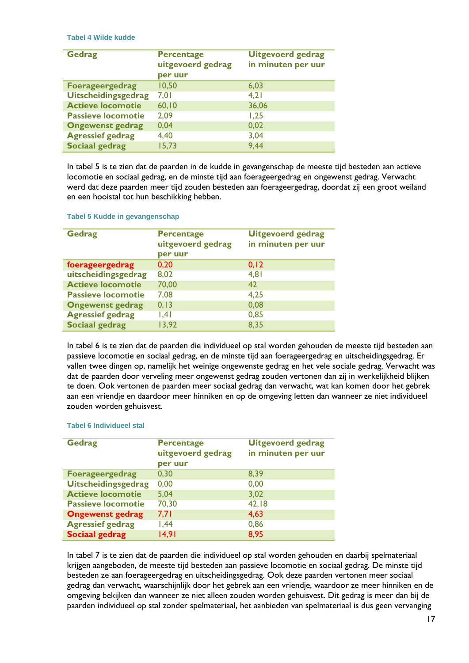**Tabel 4 Wilde kudde**

| <b>Gedrag</b>              | <b>Percentage</b><br>uitgevoerd gedrag<br>per uur | <b>Uitgevoerd gedrag</b><br>in minuten per uur |
|----------------------------|---------------------------------------------------|------------------------------------------------|
| <b>Foerageergedrag</b>     | 10,50                                             | 6,03                                           |
| <b>Uitscheidingsgedrag</b> | 7,01                                              | 4,21                                           |
| <b>Actieve locomotie</b>   | 60,10                                             | 36,06                                          |
| <b>Passieve locomotie</b>  | 2,09                                              | 1,25                                           |
| <b>Ongewenst gedrag</b>    | 0,04                                              | 0,02                                           |
| <b>Agressief gedrag</b>    | 4,40                                              | 3,04                                           |
| <b>Sociaal gedrag</b>      | 15,73                                             | 9,44                                           |

In tabel 5 is te zien dat de paarden in de kudde in gevangenschap de meeste tijd besteden aan actieve locomotie en sociaal gedrag, en de minste tijd aan foerageergedrag en ongewenst gedrag. Verwacht werd dat deze paarden meer tijd zouden besteden aan foerageergedrag, doordat zij een groot weiland en een hooistal tot hun beschikking hebben.

| <b>Gedrag</b>             | <b>Percentage</b><br>uitgevoerd gedrag<br>per uur | <b>Uitgevoerd gedrag</b><br>in minuten per uur |
|---------------------------|---------------------------------------------------|------------------------------------------------|
| foerageergedrag           | 0,20                                              | 0, 12                                          |
| uitscheidingsgedrag       | 8,02                                              | 4,81                                           |
| <b>Actieve locomotie</b>  | 70,00                                             | 42                                             |
| <b>Passieve locomotie</b> | 7,08                                              | 4,25                                           |
| <b>Ongewenst gedrag</b>   | 0, 13                                             | 0,08                                           |
| <b>Agressief gedrag</b>   | .4                                                | 0,85                                           |
| <b>Sociaal gedrag</b>     | 13,92                                             | 8,35                                           |

**Tabel 5 Kudde in gevangenschap**

In tabel 6 is te zien dat de paarden die individueel op stal worden gehouden de meeste tijd besteden aan passieve locomotie en sociaal gedrag, en de minste tijd aan foerageergedrag en uitscheidingsgedrag. Er vallen twee dingen op, namelijk het weinige ongewenste gedrag en het vele sociale gedrag. Verwacht was dat de paarden door verveling meer ongewenst gedrag zouden vertonen dan zij in werkelijkheid blijken te doen. Ook vertonen de paarden meer sociaal gedrag dan verwacht, wat kan komen door het gebrek aan een vriendje en daardoor meer hinniken en op de omgeving letten dan wanneer ze niet individueel zouden worden gehuisvest.

| <b>Gedrag</b>              | <b>Percentage</b><br>uitgevoerd gedrag<br>per uur | <b>Uitgevoerd gedrag</b><br>in minuten per uur |
|----------------------------|---------------------------------------------------|------------------------------------------------|
| <b>Foerageergedrag</b>     | 0,30                                              | 8,39                                           |
| <b>Uitscheidingsgedrag</b> | 0,00                                              | 0,00                                           |
| <b>Actieve locomotie</b>   | 5,04                                              | 3,02                                           |
| <b>Passieve locomotie</b>  | 70,30                                             | 42,18                                          |
| <b>Ongewenst gedrag</b>    | 7,71                                              | 4,63                                           |
| <b>Agressief gedrag</b>    | 1,44                                              | 0,86                                           |
| <b>Sociaal gedrag</b>      | 14,91                                             | 8,95                                           |

#### **Tabel 6 Individueel stal**

In tabel 7 is te zien dat de paarden die individueel op stal worden gehouden en daarbij spelmateriaal krijgen aangeboden, de meeste tijd besteden aan passieve locomotie en sociaal gedrag. De minste tijd besteden ze aan foerageergedrag en uitscheidingsgedrag. Ook deze paarden vertonen meer sociaal gedrag dan verwacht, waarschijnlijk door het gebrek aan een vriendje, waardoor ze meer hinniken en de omgeving bekijken dan wanneer ze niet alleen zouden worden gehuisvest. Dit gedrag is meer dan bij de paarden individueel op stal zonder spelmateriaal, het aanbieden van spelmateriaal is dus geen vervanging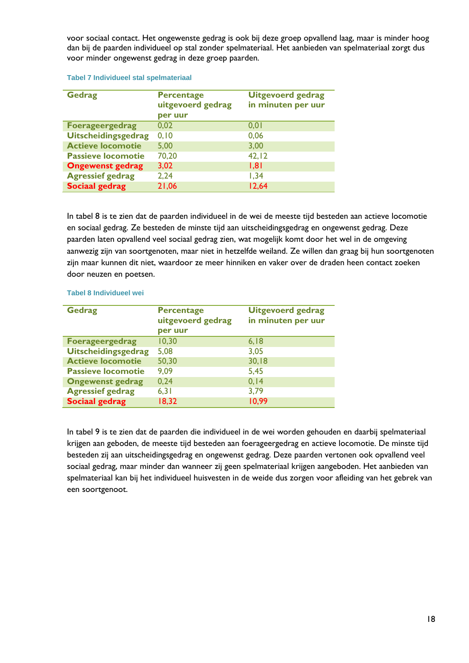voor sociaal contact. Het ongewenste gedrag is ook bij deze groep opvallend laag, maar is minder hoog dan bij de paarden individueel op stal zonder spelmateriaal. Het aanbieden van spelmateriaal zorgt dus voor minder ongewenst gedrag in deze groep paarden.

#### **Tabel 7 Individueel stal spelmateriaal**

| <b>Gedrag</b>              | <b>Percentage</b><br>uitgevoerd gedrag<br>per uur | <b>Uitgevoerd gedrag</b><br>in minuten per uur |
|----------------------------|---------------------------------------------------|------------------------------------------------|
| <b>Foerageergedrag</b>     | 0,02                                              | 0,01                                           |
| <b>Uitscheidingsgedrag</b> | 0, 10                                             | 0,06                                           |
| <b>Actieve locomotie</b>   | 5,00                                              | 3,00                                           |
| <b>Passieve locomotie</b>  | 70,20                                             | 42, 12                                         |
| <b>Ongewenst gedrag</b>    | 3,02                                              | 1,81                                           |
| <b>Agressief gedrag</b>    | 2,24                                              | 1,34                                           |
| <b>Sociaal gedrag</b>      | 21,06                                             | 12,64                                          |

In tabel 8 is te zien dat de paarden individueel in de wei de meeste tijd besteden aan actieve locomotie en sociaal gedrag. Ze besteden de minste tijd aan uitscheidingsgedrag en ongewenst gedrag. Deze paarden laten opvallend veel sociaal gedrag zien, wat mogelijk komt door het wel in de omgeving aanwezig zijn van soortgenoten, maar niet in hetzelfde weiland. Ze willen dan graag bij hun soortgenoten zijn maar kunnen dit niet, waardoor ze meer hinniken en vaker over de draden heen contact zoeken door neuzen en poetsen.

#### **Tabel 8 Individueel wei**

| <b>Gedrag</b>              | <b>Percentage</b><br>uitgevoerd gedrag<br>per uur | <b>Uitgevoerd gedrag</b><br>in minuten per uur |
|----------------------------|---------------------------------------------------|------------------------------------------------|
| <b>Foerageergedrag</b>     | 10,30                                             | 6,18                                           |
| <b>Uitscheidingsgedrag</b> | 5,08                                              | 3,05                                           |
| <b>Actieve locomotie</b>   | 50,30                                             | 30,18                                          |
| <b>Passieve locomotie</b>  | 9,09                                              | 5,45                                           |
| <b>Ongewenst gedrag</b>    | 0,24                                              | 0, 14                                          |
| <b>Agressief gedrag</b>    | 6,31                                              | 3,79                                           |
| Sociaal gedrag             | 18,32                                             | 10,99                                          |

In tabel 9 is te zien dat de paarden die individueel in de wei worden gehouden en daarbij spelmateriaal krijgen aan geboden, de meeste tijd besteden aan foerageergedrag en actieve locomotie. De minste tijd besteden zij aan uitscheidingsgedrag en ongewenst gedrag. Deze paarden vertonen ook opvallend veel sociaal gedrag, maar minder dan wanneer zij geen spelmateriaal krijgen aangeboden. Het aanbieden van spelmateriaal kan bij het individueel huisvesten in de weide dus zorgen voor afleiding van het gebrek van een soortgenoot.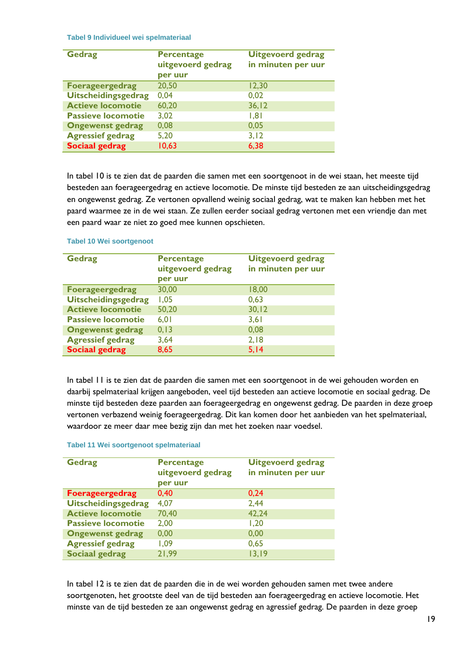#### **Tabel 9 Individueel wei spelmateriaal**

| <b>Gedrag</b>              | <b>Percentage</b><br>uitgevoerd gedrag<br>per uur | <b>Uitgevoerd gedrag</b><br>in minuten per uur |
|----------------------------|---------------------------------------------------|------------------------------------------------|
| <b>Foerageergedrag</b>     | 20,50                                             | 12,30                                          |
| <b>Uitscheidingsgedrag</b> | 0,04                                              | 0,02                                           |
| <b>Actieve locomotie</b>   | 60,20                                             | 36, 12                                         |
| <b>Passieve locomotie</b>  | 3,02                                              | 1,81                                           |
| <b>Ongewenst gedrag</b>    | 0,08                                              | 0,05                                           |
| <b>Agressief gedrag</b>    | 5,20                                              | 3,12                                           |
| <b>Sociaal gedrag</b>      | 10,63                                             | 6,38                                           |

In tabel 10 is te zien dat de paarden die samen met een soortgenoot in de wei staan, het meeste tijd besteden aan foerageergedrag en actieve locomotie. De minste tijd besteden ze aan uitscheidingsgedrag en ongewenst gedrag. Ze vertonen opvallend weinig sociaal gedrag, wat te maken kan hebben met het paard waarmee ze in de wei staan. Ze zullen eerder sociaal gedrag vertonen met een vriendje dan met een paard waar ze niet zo goed mee kunnen opschieten.

| <b>Gedrag</b>              | <b>Percentage</b> | <b>Uitgevoerd gedrag</b> |
|----------------------------|-------------------|--------------------------|
|                            | uitgevoerd gedrag | in minuten per uur       |
|                            | per uur           |                          |
| <b>Foerageergedrag</b>     | 30,00             | 18,00                    |
| <b>Uitscheidingsgedrag</b> | 1,05              | 0,63                     |
| <b>Actieve locomotie</b>   | 50,20             | 30, 12                   |
| <b>Passieve locomotie</b>  | 6,01              | 3,61                     |
| <b>Ongewenst gedrag</b>    | 0, 13             | 0,08                     |
| <b>Agressief gedrag</b>    | 3,64              | 2,18                     |
| <b>Sociaal gedrag</b>      | 8,65              | 5,14                     |

#### **Tabel 10 Wei soortgenoot**

In tabel 11 is te zien dat de paarden die samen met een soortgenoot in de wei gehouden worden en daarbij spelmateriaal krijgen aangeboden, veel tijd besteden aan actieve locomotie en sociaal gedrag. De minste tijd besteden deze paarden aan foerageergedrag en ongewenst gedrag. De paarden in deze groep vertonen verbazend weinig foerageergedrag. Dit kan komen door het aanbieden van het spelmateriaal, waardoor ze meer daar mee bezig zijn dan met het zoeken naar voedsel.

#### **Tabel 11 Wei soortgenoot spelmateriaal**

| <b>Gedrag</b>              | <b>Percentage</b><br>uitgevoerd gedrag<br>per uur | <b>Uitgevoerd gedrag</b><br>in minuten per uur |
|----------------------------|---------------------------------------------------|------------------------------------------------|
| <b>Foerageergedrag</b>     | 0,40                                              | 0,24                                           |
| <b>Uitscheidingsgedrag</b> | 4,07                                              | 2,44                                           |
| <b>Actieve locomotie</b>   | 70,40                                             | 42,24                                          |
| <b>Passieve locomotie</b>  | 2,00                                              | 1,20                                           |
| <b>Ongewenst gedrag</b>    | 0,00                                              | 0,00                                           |
| <b>Agressief gedrag</b>    | 1,09                                              | 0,65                                           |
| <b>Sociaal gedrag</b>      | 21,99                                             | 13,19                                          |

In tabel 12 is te zien dat de paarden die in de wei worden gehouden samen met twee andere soortgenoten, het grootste deel van de tijd besteden aan foerageergedrag en actieve locomotie. Het minste van de tijd besteden ze aan ongewenst gedrag en agressief gedrag. De paarden in deze groep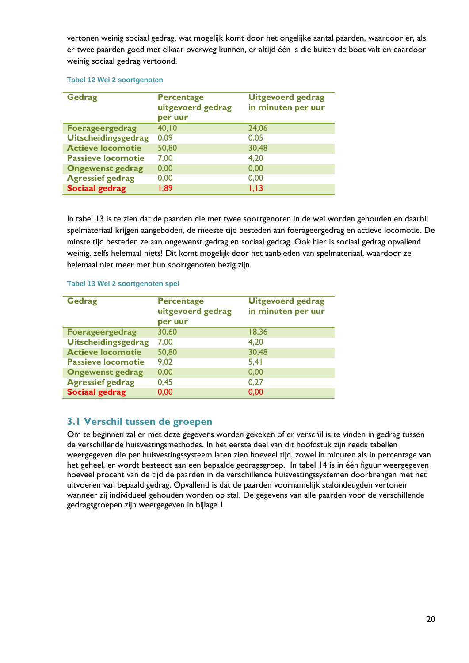vertonen weinig sociaal gedrag, wat mogelijk komt door het ongelijke aantal paarden, waardoor er, als er twee paarden goed met elkaar overweg kunnen, er altijd één is die buiten de boot valt en daardoor weinig sociaal gedrag vertoond.

#### **Tabel 12 Wei 2 soortgenoten**

| <b>Gedrag</b>              | <b>Percentage</b><br>uitgevoerd gedrag<br>per uur | <b>Uitgevoerd gedrag</b><br>in minuten per uur |
|----------------------------|---------------------------------------------------|------------------------------------------------|
| <b>Foerageergedrag</b>     | 40, 10                                            | 24,06                                          |
| <b>Uitscheidingsgedrag</b> | 0,09                                              | 0,05                                           |
| <b>Actieve locomotie</b>   | 50,80                                             | 30,48                                          |
| <b>Passieve locomotie</b>  | 7,00                                              | 4,20                                           |
| <b>Ongewenst gedrag</b>    | 0,00                                              | 0,00                                           |
| <b>Agressief gedrag</b>    | 0,00                                              | 0,00                                           |
| <b>Sociaal gedrag</b>      | 1,89                                              | 1,13                                           |

In tabel 13 is te zien dat de paarden die met twee soortgenoten in de wei worden gehouden en daarbij spelmateriaal krijgen aangeboden, de meeste tijd besteden aan foerageergedrag en actieve locomotie. De minste tijd besteden ze aan ongewenst gedrag en sociaal gedrag. Ook hier is sociaal gedrag opvallend weinig, zelfs helemaal niets! Dit komt mogelijk door het aanbieden van spelmateriaal, waardoor ze helemaal niet meer met hun soortgenoten bezig zijn.

#### **Tabel 13 Wei 2 soortgenoten spel**

| <b>Gedrag</b>              | <b>Percentage</b><br>uitgevoerd gedrag<br>per uur | <b>Uitgevoerd gedrag</b><br>in minuten per uur |
|----------------------------|---------------------------------------------------|------------------------------------------------|
| <b>Foerageergedrag</b>     | 30,60                                             | 18,36                                          |
| <b>Uitscheidingsgedrag</b> | 7,00                                              | 4,20                                           |
| <b>Actieve locomotie</b>   | 50,80                                             | 30,48                                          |
| <b>Passieve locomotie</b>  | 9,02                                              | 5,41                                           |
| <b>Ongewenst gedrag</b>    | 0,00                                              | 0,00                                           |
| <b>Agressief gedrag</b>    | 0,45                                              | 0,27                                           |
| <b>Sociaal gedrag</b>      | 0,00                                              | 0,00                                           |

### <span id="page-21-0"></span>**3.1 Verschil tussen de groepen**

Om te beginnen zal er met deze gegevens worden gekeken of er verschil is te vinden in gedrag tussen de verschillende huisvestingsmethodes. In het eerste deel van dit hoofdstuk zijn reeds tabellen weergegeven die per huisvestingssysteem laten zien hoeveel tijd, zowel in minuten als in percentage van het geheel, er wordt besteedt aan een bepaalde gedragsgroep. In tabel 14 is in één figuur weergegeven hoeveel procent van de tijd de paarden in de verschillende huisvestingssystemen doorbrengen met het uitvoeren van bepaald gedrag. Opvallend is dat de paarden voornamelijk stalondeugden vertonen wanneer zij individueel gehouden worden op stal. De gegevens van alle paarden voor de verschillende gedragsgroepen zijn weergegeven in bijlage 1.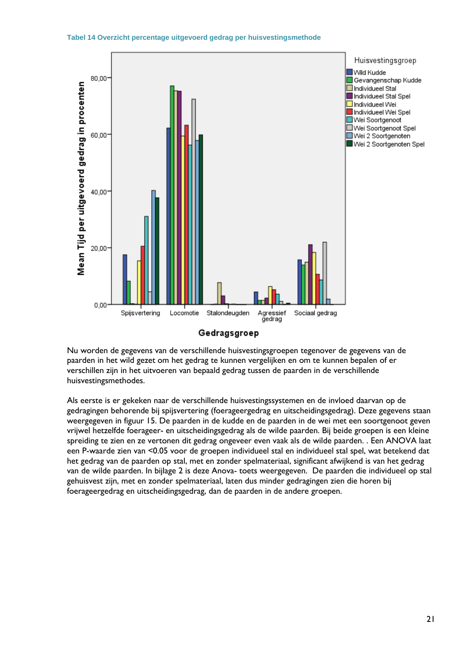



Gedragsgroep

Nu worden de gegevens van de verschillende huisvestingsgroepen tegenover de gegevens van de paarden in het wild gezet om het gedrag te kunnen vergelijken en om te kunnen bepalen of er verschillen zijn in het uitvoeren van bepaald gedrag tussen de paarden in de verschillende huisvestingsmethodes.

Als eerste is er gekeken naar de verschillende huisvestingssystemen en de invloed daarvan op de gedragingen behorende bij spijsvertering (foerageergedrag en uitscheidingsgedrag). Deze gegevens staan weergegeven in figuur 15. De paarden in de kudde en de paarden in de wei met een soortgenoot geven vrijwel hetzelfde foerageer- en uitscheidingsgedrag als de wilde paarden. Bij beide groepen is een kleine spreiding te zien en ze vertonen dit gedrag ongeveer even vaak als de wilde paarden. . Een ANOVA laat een P-waarde zien van <0.05 voor de groepen individueel stal en individueel stal spel, wat betekend dat het gedrag van de paarden op stal, met en zonder spelmateriaal, significant afwijkend is van het gedrag van de wilde paarden. In bijlage 2 is deze Anova- toets weergegeven. De paarden die individueel op stal gehuisvest zijn, met en zonder spelmateriaal, laten dus minder gedragingen zien die horen bij foerageergedrag en uitscheidingsgedrag, dan de paarden in de andere groepen.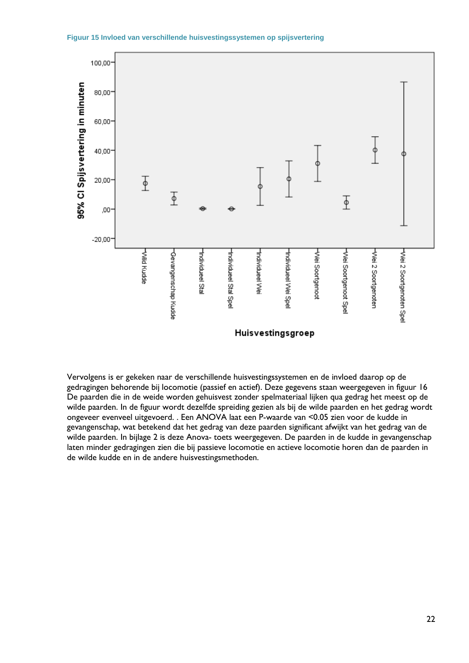



Vervolgens is er gekeken naar de verschillende huisvestingssystemen en de invloed daarop op de gedragingen behorende bij locomotie (passief en actief). Deze gegevens staan weergegeven in figuur 16 De paarden die in de weide worden gehuisvest zonder spelmateriaal lijken qua gedrag het meest op de wilde paarden. In de figuur wordt dezelfde spreiding gezien als bij de wilde paarden en het gedrag wordt ongeveer evenveel uitgevoerd. . Een ANOVA laat een P-waarde van <0.05 zien voor de kudde in gevangenschap, wat betekend dat het gedrag van deze paarden significant afwijkt van het gedrag van de wilde paarden. In bijlage 2 is deze Anova- toets weergegeven. De paarden in de kudde in gevangenschap laten minder gedragingen zien die bij passieve locomotie en actieve locomotie horen dan de paarden in de wilde kudde en in de andere huisvestingsmethoden.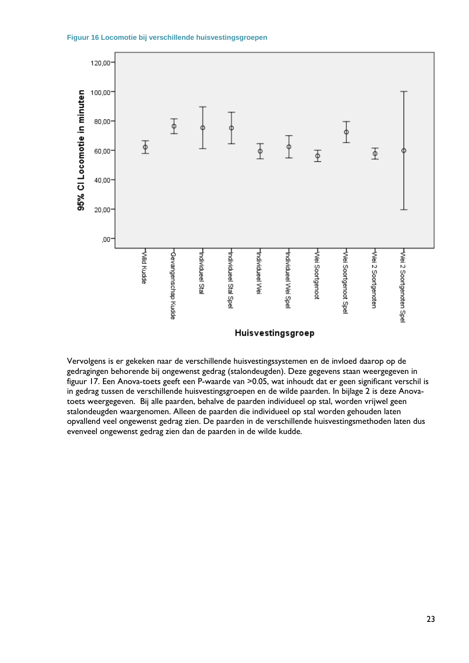



Vervolgens is er gekeken naar de verschillende huisvestingssystemen en de invloed daarop op de gedragingen behorende bij ongewenst gedrag (stalondeugden). Deze gegevens staan weergegeven in figuur 17. Een Anova-toets geeft een P-waarde van >0.05, wat inhoudt dat er geen significant verschil is in gedrag tussen de verschillende huisvestingsgroepen en de wilde paarden. In bijlage 2 is deze Anovatoets weergegeven. Bij alle paarden, behalve de paarden individueel op stal, worden vrijwel geen stalondeugden waargenomen. Alleen de paarden die individueel op stal worden gehouden laten opvallend veel ongewenst gedrag zien. De paarden in de verschillende huisvestingsmethoden laten dus evenveel ongewenst gedrag zien dan de paarden in de wilde kudde.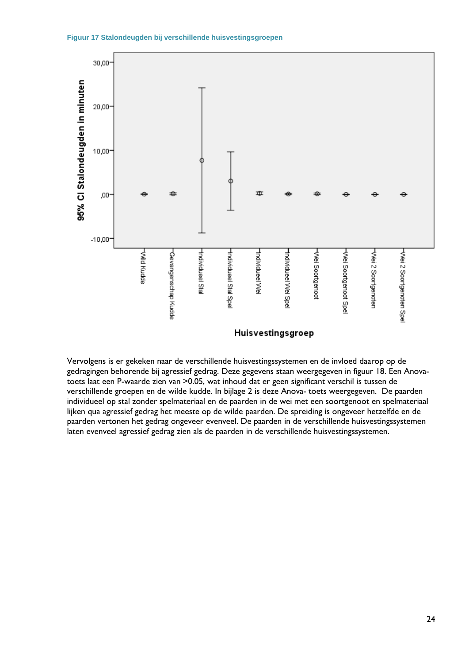



Vervolgens is er gekeken naar de verschillende huisvestingssystemen en de invloed daarop op de gedragingen behorende bij agressief gedrag. Deze gegevens staan weergegeven in figuur 18. Een Anovatoets laat een P-waarde zien van >0.05, wat inhoud dat er geen significant verschil is tussen de verschillende groepen en de wilde kudde. In bijlage 2 is deze Anova- toets weergegeven. De paarden individueel op stal zonder spelmateriaal en de paarden in de wei met een soortgenoot en spelmateriaal lijken qua agressief gedrag het meeste op de wilde paarden. De spreiding is ongeveer hetzelfde en de paarden vertonen het gedrag ongeveer evenveel. De paarden in de verschillende huisvestingssystemen laten evenveel agressief gedrag zien als de paarden in de verschillende huisvestingssystemen.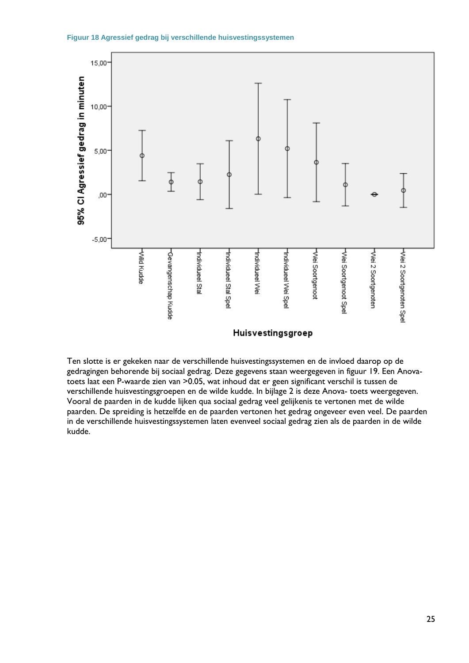



Ten slotte is er gekeken naar de verschillende huisvestingssystemen en de invloed daarop op de gedragingen behorende bij sociaal gedrag. Deze gegevens staan weergegeven in figuur 19. Een Anovatoets laat een P-waarde zien van >0.05, wat inhoud dat er geen significant verschil is tussen de verschillende huisvestingsgroepen en de wilde kudde. In bijlage 2 is deze Anova- toets weergegeven. Vooral de paarden in de kudde lijken qua sociaal gedrag veel gelijkenis te vertonen met de wilde paarden. De spreiding is hetzelfde en de paarden vertonen het gedrag ongeveer even veel. De paarden in de verschillende huisvestingssystemen laten evenveel sociaal gedrag zien als de paarden in de wilde kudde.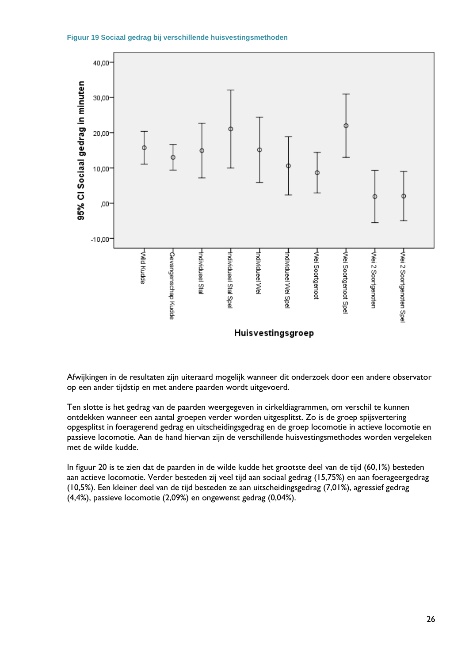



Afwijkingen in de resultaten zijn uiteraard mogelijk wanneer dit onderzoek door een andere observator op een ander tijdstip en met andere paarden wordt uitgevoerd.

Ten slotte is het gedrag van de paarden weergegeven in cirkeldiagrammen, om verschil te kunnen ontdekken wanneer een aantal groepen verder worden uitgesplitst. Zo is de groep spijsvertering opgesplitst in foeragerend gedrag en uitscheidingsgedrag en de groep locomotie in actieve locomotie en passieve locomotie. Aan de hand hiervan zijn de verschillende huisvestingsmethodes worden vergeleken met de wilde kudde.

In figuur 20 is te zien dat de paarden in de wilde kudde het grootste deel van de tijd (60,1%) besteden aan actieve locomotie. Verder besteden zij veel tijd aan sociaal gedrag (15,75%) en aan foerageergedrag (10,5%). Een kleiner deel van de tijd besteden ze aan uitscheidingsgedrag (7,01%), agressief gedrag (4,4%), passieve locomotie (2,09%) en ongewenst gedrag (0,04%).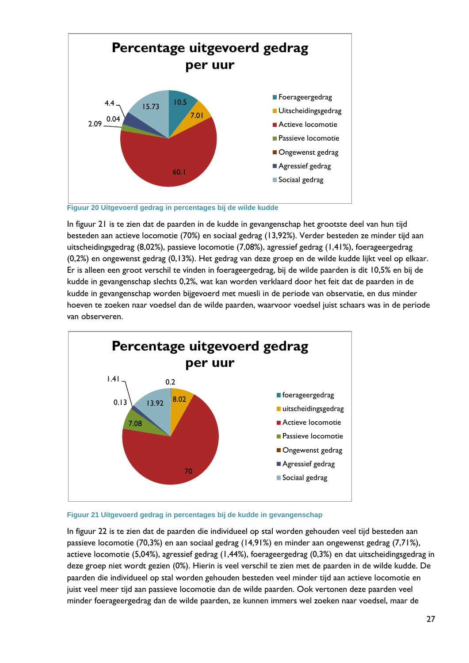

**Figuur 20 Uitgevoerd gedrag in percentages bij de wilde kudde**

In figuur 21 is te zien dat de paarden in de kudde in gevangenschap het grootste deel van hun tijd besteden aan actieve locomotie (70%) en sociaal gedrag (13,92%). Verder besteden ze minder tijd aan uitscheidingsgedrag (8,02%), passieve locomotie (7,08%), agressief gedrag (1,41%), foerageergedrag (0,2%) en ongewenst gedrag (0,13%). Het gedrag van deze groep en de wilde kudde lijkt veel op elkaar. Er is alleen een groot verschil te vinden in foerageergedrag, bij de wilde paarden is dit 10,5% en bij de kudde in gevangenschap slechts 0,2%, wat kan worden verklaard door het feit dat de paarden in de kudde in gevangenschap worden bijgevoerd met muesli in de periode van observatie, en dus minder hoeven te zoeken naar voedsel dan de wilde paarden, waarvoor voedsel juist schaars was in de periode van observeren.





In figuur 22 is te zien dat de paarden die individueel op stal worden gehouden veel tijd besteden aan passieve locomotie (70,3%) en aan sociaal gedrag (14,91%) en minder aan ongewenst gedrag (7,71%), actieve locomotie (5,04%), agressief gedrag (1,44%), foerageergedrag (0,3%) en dat uitscheidingsgedrag in deze groep niet wordt gezien (0%). Hierin is veel verschil te zien met de paarden in de wilde kudde. De paarden die individueel op stal worden gehouden besteden veel minder tijd aan actieve locomotie en juist veel meer tijd aan passieve locomotie dan de wilde paarden. Ook vertonen deze paarden veel minder foerageergedrag dan de wilde paarden, ze kunnen immers wel zoeken naar voedsel, maar de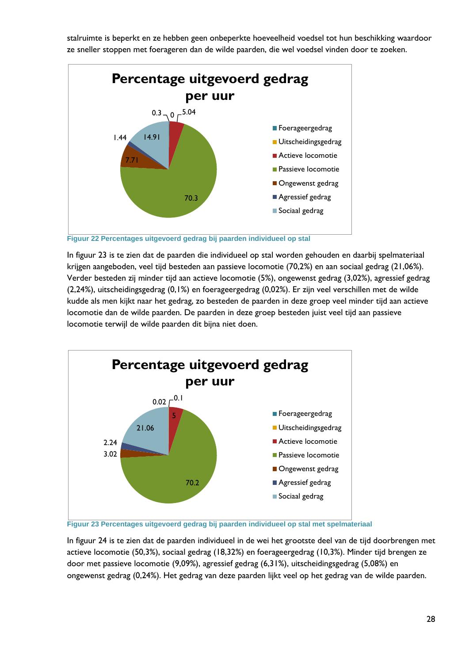stalruimte is beperkt en ze hebben geen onbeperkte hoeveelheid voedsel tot hun beschikking waardoor ze sneller stoppen met foerageren dan de wilde paarden, die wel voedsel vinden door te zoeken.



**Figuur 22 Percentages uitgevoerd gedrag bij paarden individueel op stal**

In figuur 23 is te zien dat de paarden die individueel op stal worden gehouden en daarbij spelmateriaal krijgen aangeboden, veel tijd besteden aan passieve locomotie (70,2%) en aan sociaal gedrag (21,06%). Verder besteden zij minder tijd aan actieve locomotie (5%), ongewenst gedrag (3,02%), agressief gedrag (2,24%), uitscheidingsgedrag (0,1%) en foerageergedrag (0,02%). Er zijn veel verschillen met de wilde kudde als men kijkt naar het gedrag, zo besteden de paarden in deze groep veel minder tijd aan actieve locomotie dan de wilde paarden. De paarden in deze groep besteden juist veel tijd aan passieve locomotie terwijl de wilde paarden dit bijna niet doen.



**Figuur 23 Percentages uitgevoerd gedrag bij paarden individueel op stal met spelmateriaal**

In figuur 24 is te zien dat de paarden individueel in de wei het grootste deel van de tijd doorbrengen met actieve locomotie (50,3%), sociaal gedrag (18,32%) en foerageergedrag (10,3%). Minder tijd brengen ze door met passieve locomotie (9,09%), agressief gedrag (6,31%), uitscheidingsgedrag (5,08%) en ongewenst gedrag (0,24%). Het gedrag van deze paarden lijkt veel op het gedrag van de wilde paarden.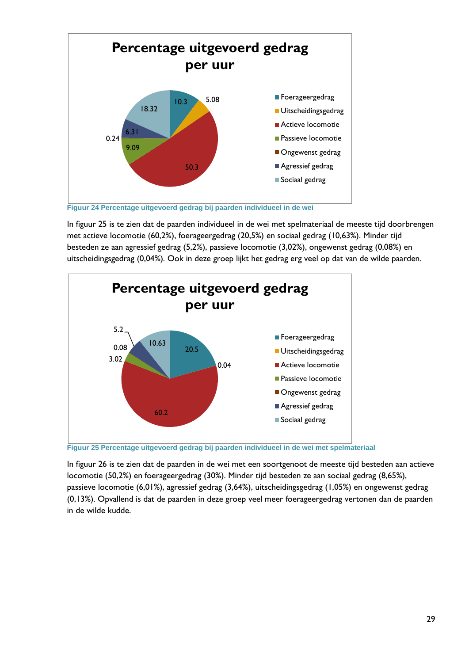

In figuur 25 is te zien dat de paarden individueel in de wei met spelmateriaal de meeste tijd doorbrengen met actieve locomotie (60,2%), foerageergedrag (20,5%) en sociaal gedrag (10,63%). Minder tijd besteden ze aan agressief gedrag (5,2%), passieve locomotie (3,02%), ongewenst gedrag (0,08%) en uitscheidingsgedrag (0,04%). Ook in deze groep lijkt het gedrag erg veel op dat van de wilde paarden.



**Figuur 25 Percentage uitgevoerd gedrag bij paarden individueel in de wei met spelmateriaal**

In figuur 26 is te zien dat de paarden in de wei met een soortgenoot de meeste tijd besteden aan actieve locomotie (50,2%) en foerageergedrag (30%). Minder tijd besteden ze aan sociaal gedrag (8,65%), passieve locomotie (6,01%), agressief gedrag (3,64%), uitscheidingsgedrag (1,05%) en ongewenst gedrag (0,13%). Opvallend is dat de paarden in deze groep veel meer foerageergedrag vertonen dan de paarden in de wilde kudde.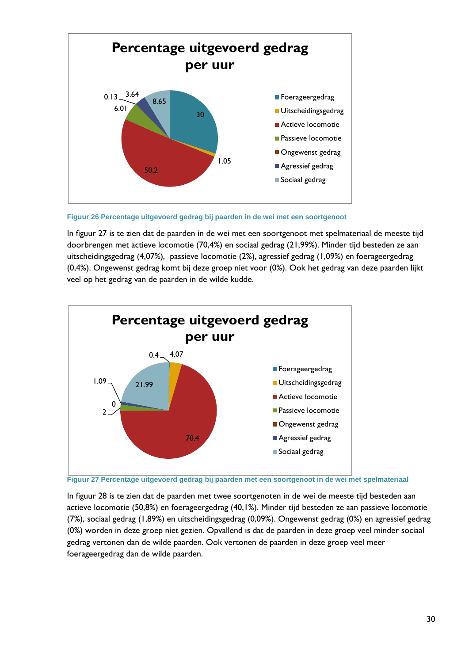

**Figuur 26 Percentage uitgevoerd gedrag bij paarden in de wei met een soortgenoot**

In figuur 27 is te zien dat de paarden in de wei met een soortgenoot met spelmateriaal de meeste tijd doorbrengen met actieve locomotie (70,4%) en sociaal gedrag (21,99%). Minder tijd besteden ze aan uitscheidingsgedrag (4,07%), passieve locomotie (2%), agressief gedrag (1,09%) en foerageergedrag (0,4%). Ongewenst gedrag komt bij deze groep niet voor (0%). Ook het gedrag van deze paarden lijkt veel op het gedrag van de paarden in de wilde kudde.



**Figuur 27 Percentage uitgevoerd gedrag bij paarden met een soortgenoot in de wei met spelmateriaal**

In figuur 28 is te zien dat de paarden met twee soortgenoten in de wei de meeste tijd besteden aan actieve locomotie (50,8%) en foerageergedrag (40,1%). Minder tijd besteden ze aan passieve locomotie (7%), sociaal gedrag (1,89%) en uitscheidingsgedrag (0,09%). Ongewenst gedrag (0%) en agressief gedrag (0%) worden in deze groep niet gezien. Opvallend is dat de paarden in deze groep veel minder sociaal gedrag vertonen dan de wilde paarden. Ook vertonen de paarden in deze groep veel meer foerageergedrag dan de wilde paarden.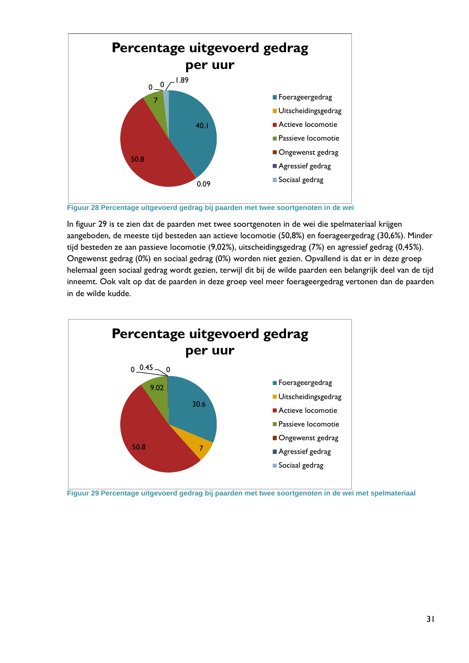

In figuur 29 is te zien dat de paarden met twee soortgenoten in de wei die spelmateriaal krijgen aangeboden, de meeste tijd besteden aan actieve locomotie (50,8%) en foerageergedrag (30,6%). Minder tijd besteden ze aan passieve locomotie (9,02%), uitscheidingsgedrag (7%) en agressief gedrag (0,45%). Ongewenst gedrag (0%) en sociaal gedrag (0%) worden niet gezien. Opvallend is dat er in deze groep helemaal geen sociaal gedrag wordt gezien, terwijl dit bij de wilde paarden een belangrijk deel van de tijd inneemt. Ook valt op dat de paarden in deze groep veel meer foerageergedrag vertonen dan de paarden in de wilde kudde.



**Figuur 29 Percentage uitgevoerd gedrag bij paarden met twee soortgenoten in de wei met spelmateriaal**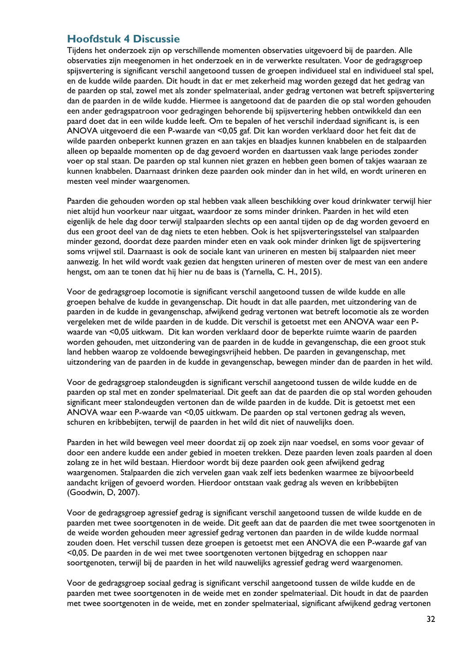## <span id="page-33-0"></span>**Hoofdstuk 4 Discussie**

Tijdens het onderzoek zijn op verschillende momenten observaties uitgevoerd bij de paarden. Alle observaties zijn meegenomen in het onderzoek en in de verwerkte resultaten. Voor de gedragsgroep spijsvertering is significant verschil aangetoond tussen de groepen individueel stal en individueel stal spel, en de kudde wilde paarden. Dit houdt in dat er met zekerheid mag worden gezegd dat het gedrag van de paarden op stal, zowel met als zonder spelmateriaal, ander gedrag vertonen wat betreft spijsvertering dan de paarden in de wilde kudde. Hiermee is aangetoond dat de paarden die op stal worden gehouden een ander gedragspatroon voor gedragingen behorende bij spijsvertering hebben ontwikkeld dan een paard doet dat in een wilde kudde leeft. Om te bepalen of het verschil inderdaad significant is, is een ANOVA uitgevoerd die een P-waarde van <0,05 gaf. Dit kan worden verklaard door het feit dat de wilde paarden onbeperkt kunnen grazen en aan takjes en blaadjes kunnen knabbelen en de stalpaarden alleen op bepaalde momenten op de dag gevoerd worden en daartussen vaak lange periodes zonder voer op stal staan. De paarden op stal kunnen niet grazen en hebben geen bomen of takjes waaraan ze kunnen knabbelen. Daarnaast drinken deze paarden ook minder dan in het wild, en wordt urineren en mesten veel minder waargenomen.

Paarden die gehouden worden op stal hebben vaak alleen beschikking over koud drinkwater terwijl hier niet altijd hun voorkeur naar uitgaat, waardoor ze soms minder drinken. Paarden in het wild eten eigenlijk de hele dag door terwijl stalpaarden slechts op een aantal tijden op de dag worden gevoerd en dus een groot deel van de dag niets te eten hebben. Ook is het spijsverteringsstelsel van stalpaarden minder gezond, doordat deze paarden minder eten en vaak ook minder drinken ligt de spijsvertering soms vrijwel stil. Daarnaast is ook de sociale kant van urineren en mesten bij stalpaarden niet meer aanwezig. In het wild wordt vaak gezien dat hengsten urineren of mesten over de mest van een andere hengst, om aan te tonen dat hij hier nu de baas is (Yarnella, C. H., 2015).

Voor de gedragsgroep locomotie is significant verschil aangetoond tussen de wilde kudde en alle groepen behalve de kudde in gevangenschap. Dit houdt in dat alle paarden, met uitzondering van de paarden in de kudde in gevangenschap, afwijkend gedrag vertonen wat betreft locomotie als ze worden vergeleken met de wilde paarden in de kudde. Dit verschil is getoetst met een ANOVA waar een Pwaarde van <0,05 uitkwam. Dit kan worden verklaard door de beperkte ruimte waarin de paarden worden gehouden, met uitzondering van de paarden in de kudde in gevangenschap, die een groot stuk land hebben waarop ze voldoende bewegingsvrijheid hebben. De paarden in gevangenschap, met uitzondering van de paarden in de kudde in gevangenschap, bewegen minder dan de paarden in het wild.

Voor de gedragsgroep stalondeugden is significant verschil aangetoond tussen de wilde kudde en de paarden op stal met en zonder spelmateriaal. Dit geeft aan dat de paarden die op stal worden gehouden significant meer stalondeugden vertonen dan de wilde paarden in de kudde. Dit is getoetst met een ANOVA waar een P-waarde van <0,05 uitkwam. De paarden op stal vertonen gedrag als weven, schuren en kribbebijten, terwijl de paarden in het wild dit niet of nauwelijks doen.

Paarden in het wild bewegen veel meer doordat zij op zoek zijn naar voedsel, en soms voor gevaar of door een andere kudde een ander gebied in moeten trekken. Deze paarden leven zoals paarden al doen zolang ze in het wild bestaan. Hierdoor wordt bij deze paarden ook geen afwijkend gedrag waargenomen. Stalpaarden die zich vervelen gaan vaak zelf iets bedenken waarmee ze bijvoorbeeld aandacht krijgen of gevoerd worden. Hierdoor ontstaan vaak gedrag als weven en kribbebijten (Goodwin, D, 2007).

Voor de gedragsgroep agressief gedrag is significant verschil aangetoond tussen de wilde kudde en de paarden met twee soortgenoten in de weide. Dit geeft aan dat de paarden die met twee soortgenoten in de weide worden gehouden meer agressief gedrag vertonen dan paarden in de wilde kudde normaal zouden doen. Het verschil tussen deze groepen is getoetst met een ANOVA die een P-waarde gaf van <0,05. De paarden in de wei met twee soortgenoten vertonen bijtgedrag en schoppen naar soortgenoten, terwijl bij de paarden in het wild nauwelijks agressief gedrag werd waargenomen.

Voor de gedragsgroep sociaal gedrag is significant verschil aangetoond tussen de wilde kudde en de paarden met twee soortgenoten in de weide met en zonder spelmateriaal. Dit houdt in dat de paarden met twee soortgenoten in de weide, met en zonder spelmateriaal, significant afwijkend gedrag vertonen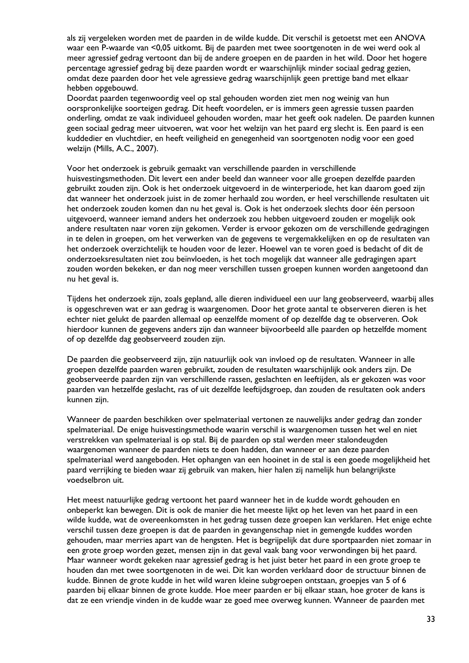als zij vergeleken worden met de paarden in de wilde kudde. Dit verschil is getoetst met een ANOVA waar een P-waarde van <0,05 uitkomt. Bij de paarden met twee soortgenoten in de wei werd ook al meer agressief gedrag vertoont dan bij de andere groepen en de paarden in het wild. Door het hogere percentage agressief gedrag bij deze paarden wordt er waarschijnlijk minder sociaal gedrag gezien, omdat deze paarden door het vele agressieve gedrag waarschijnlijk geen prettige band met elkaar hebben opgebouwd.

Doordat paarden tegenwoordig veel op stal gehouden worden ziet men nog weinig van hun oorspronkelijke soorteigen gedrag. Dit heeft voordelen, er is immers geen agressie tussen paarden onderling, omdat ze vaak individueel gehouden worden, maar het geeft ook nadelen. De paarden kunnen geen sociaal gedrag meer uitvoeren, wat voor het welzijn van het paard erg slecht is. Een paard is een kuddedier en vluchtdier, en heeft veiligheid en genegenheid van soortgenoten nodig voor een goed welzijn (Mills, A.C., 2007).

Voor het onderzoek is gebruik gemaakt van verschillende paarden in verschillende huisvestingsmethoden. Dit levert een ander beeld dan wanneer voor alle groepen dezelfde paarden gebruikt zouden zijn. Ook is het onderzoek uitgevoerd in de winterperiode, het kan daarom goed zijn dat wanneer het onderzoek juist in de zomer herhaald zou worden, er heel verschillende resultaten uit het onderzoek zouden komen dan nu het geval is. Ook is het onderzoek slechts door één persoon uitgevoerd, wanneer iemand anders het onderzoek zou hebben uitgevoerd zouden er mogelijk ook andere resultaten naar voren zijn gekomen. Verder is ervoor gekozen om de verschillende gedragingen in te delen in groepen, om het verwerken van de gegevens te vergemakkelijken en op de resultaten van het onderzoek overzichtelijk te houden voor de lezer. Hoewel van te voren goed is bedacht of dit de onderzoeksresultaten niet zou beïnvloeden, is het toch mogelijk dat wanneer alle gedragingen apart zouden worden bekeken, er dan nog meer verschillen tussen groepen kunnen worden aangetoond dan nu het geval is.

Tijdens het onderzoek zijn, zoals gepland, alle dieren individueel een uur lang geobserveerd, waarbij alles is opgeschreven wat er aan gedrag is waargenomen. Door het grote aantal te observeren dieren is het echter niet gelukt de paarden allemaal op eenzelfde moment of op dezelfde dag te observeren. Ook hierdoor kunnen de gegevens anders zijn dan wanneer bijvoorbeeld alle paarden op hetzelfde moment of op dezelfde dag geobserveerd zouden zijn.

De paarden die geobserveerd zijn, zijn natuurlijk ook van invloed op de resultaten. Wanneer in alle groepen dezelfde paarden waren gebruikt, zouden de resultaten waarschijnlijk ook anders zijn. De geobserveerde paarden zijn van verschillende rassen, geslachten en leeftijden, als er gekozen was voor paarden van hetzelfde geslacht, ras of uit dezelfde leeftijdsgroep, dan zouden de resultaten ook anders kunnen zijn.

Wanneer de paarden beschikken over spelmateriaal vertonen ze nauwelijks ander gedrag dan zonder spelmateriaal. De enige huisvestingsmethode waarin verschil is waargenomen tussen het wel en niet verstrekken van spelmateriaal is op stal. Bij de paarden op stal werden meer stalondeugden waargenomen wanneer de paarden niets te doen hadden, dan wanneer er aan deze paarden spelmateriaal werd aangeboden. Het ophangen van een hooinet in de stal is een goede mogelijkheid het paard verrijking te bieden waar zij gebruik van maken, hier halen zij namelijk hun belangrijkste voedselbron uit.

Het meest natuurlijke gedrag vertoont het paard wanneer het in de kudde wordt gehouden en onbeperkt kan bewegen. Dit is ook de manier die het meeste lijkt op het leven van het paard in een wilde kudde, wat de overeenkomsten in het gedrag tussen deze groepen kan verklaren. Het enige echte verschil tussen deze groepen is dat de paarden in gevangenschap niet in gemengde kuddes worden gehouden, maar merries apart van de hengsten. Het is begrijpelijk dat dure sportpaarden niet zomaar in een grote groep worden gezet, mensen zijn in dat geval vaak bang voor verwondingen bij het paard. Maar wanneer wordt gekeken naar agressief gedrag is het juist beter het paard in een grote groep te houden dan met twee soortgenoten in de wei. Dit kan worden verklaard door de structuur binnen de kudde. Binnen de grote kudde in het wild waren kleine subgroepen ontstaan, groepjes van 5 of 6 paarden bij elkaar binnen de grote kudde. Hoe meer paarden er bij elkaar staan, hoe groter de kans is dat ze een vriendje vinden in de kudde waar ze goed mee overweg kunnen. Wanneer de paarden met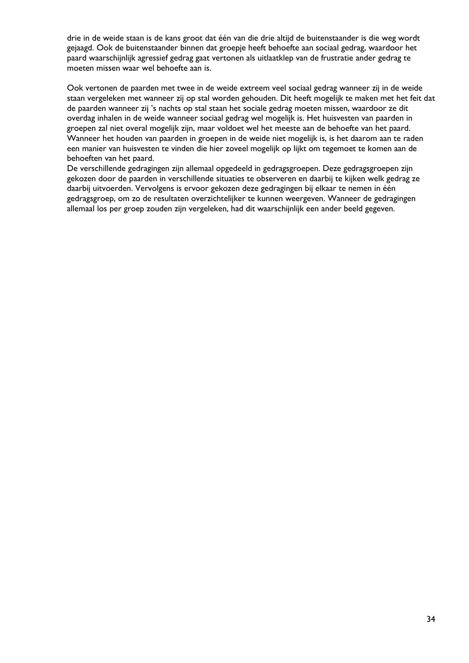drie in de weide staan is de kans groot dat één van die drie altijd de buitenstaander is die weg wordt gejaagd. Ook de buitenstaander binnen dat groepje heeft behoefte aan sociaal gedrag, waardoor het paard waarschijnlijk agressief gedrag gaat vertonen als uitlaatklep van de frustratie ander gedrag te moeten missen waar wel behoefte aan is.

Ook vertonen de paarden met twee in de weide extreem veel sociaal gedrag wanneer zij in de weide staan vergeleken met wanneer zij op stal worden gehouden. Dit heeft mogelijk te maken met het feit dat de paarden wanneer zij 's nachts op stal staan het sociale gedrag moeten missen, waardoor ze dit overdag inhalen in de weide wanneer sociaal gedrag wel mogelijk is. Het huisvesten van paarden in groepen zal niet overal mogelijk zijn, maar voldoet wel het meeste aan de behoefte van het paard. Wanneer het houden van paarden in groepen in de weide niet mogelijk is, is het daarom aan te raden een manier van huisvesten te vinden die hier zoveel mogelijk op lijkt om tegemoet te komen aan de behoeften van het paard.

De verschillende gedragingen zijn allemaal opgedeeld in gedragsgroepen. Deze gedragsgroepen zijn gekozen door de paarden in verschillende situaties te observeren en daarbij te kijken welk gedrag ze daarbij uitvoerden. Vervolgens is ervoor gekozen deze gedragingen bij elkaar te nemen in één gedragsgroep, om zo de resultaten overzichtelijker te kunnen weergeven. Wanneer de gedragingen allemaal los per groep zouden zijn vergeleken, had dit waarschijnlijk een ander beeld gegeven.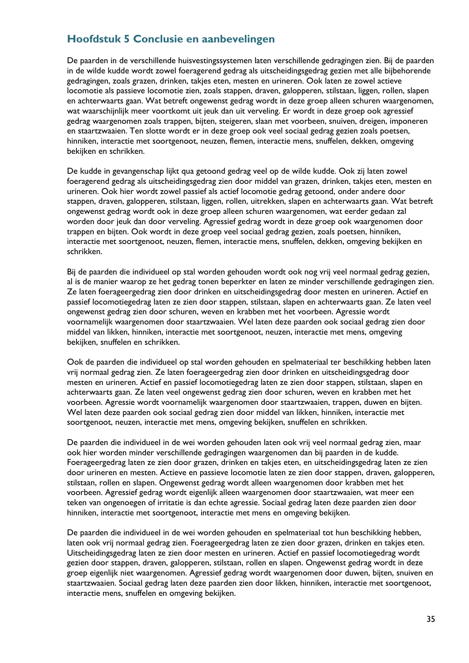## <span id="page-36-0"></span>**Hoofdstuk 5 Conclusie en aanbevelingen**

De paarden in de verschillende huisvestingssystemen laten verschillende gedragingen zien. Bij de paarden in de wilde kudde wordt zowel foeragerend gedrag als uitscheidingsgedrag gezien met alle bijbehorende gedragingen, zoals grazen, drinken, takjes eten, mesten en urineren. Ook laten ze zowel actieve locomotie als passieve locomotie zien, zoals stappen, draven, galopperen, stilstaan, liggen, rollen, slapen en achterwaarts gaan. Wat betreft ongewenst gedrag wordt in deze groep alleen schuren waargenomen, wat waarschijnlijk meer voortkomt uit jeuk dan uit verveling. Er wordt in deze groep ook agressief gedrag waargenomen zoals trappen, bijten, steigeren, slaan met voorbeen, snuiven, dreigen, imponeren en staartzwaaien. Ten slotte wordt er in deze groep ook veel sociaal gedrag gezien zoals poetsen, hinniken, interactie met soortgenoot, neuzen, flemen, interactie mens, snuffelen, dekken, omgeving bekijken en schrikken.

De kudde in gevangenschap lijkt qua getoond gedrag veel op de wilde kudde. Ook zij laten zowel foeragerend gedrag als uitscheidingsgedrag zien door middel van grazen, drinken, takjes eten, mesten en urineren. Ook hier wordt zowel passief als actief locomotie gedrag getoond, onder andere door stappen, draven, galopperen, stilstaan, liggen, rollen, uitrekken, slapen en achterwaarts gaan. Wat betreft ongewenst gedrag wordt ook in deze groep alleen schuren waargenomen, wat eerder gedaan zal worden door jeuk dan door verveling. Agressief gedrag wordt in deze groep ook waargenomen door trappen en bijten. Ook wordt in deze groep veel sociaal gedrag gezien, zoals poetsen, hinniken, interactie met soortgenoot, neuzen, flemen, interactie mens, snuffelen, dekken, omgeving bekijken en schrikken.

Bij de paarden die individueel op stal worden gehouden wordt ook nog vrij veel normaal gedrag gezien, al is de manier waarop ze het gedrag tonen beperkter en laten ze minder verschillende gedragingen zien. Ze laten foerageergedrag zien door drinken en uitscheidingsgedrag door mesten en urineren. Actief en passief locomotiegedrag laten ze zien door stappen, stilstaan, slapen en achterwaarts gaan. Ze laten veel ongewenst gedrag zien door schuren, weven en krabben met het voorbeen. Agressie wordt voornamelijk waargenomen door staartzwaaien. Wel laten deze paarden ook sociaal gedrag zien door middel van likken, hinniken, interactie met soortgenoot, neuzen, interactie met mens, omgeving bekijken, snuffelen en schrikken.

Ook de paarden die individueel op stal worden gehouden en spelmateriaal ter beschikking hebben laten vrij normaal gedrag zien. Ze laten foerageergedrag zien door drinken en uitscheidingsgedrag door mesten en urineren. Actief en passief locomotiegedrag laten ze zien door stappen, stilstaan, slapen en achterwaarts gaan. Ze laten veel ongewenst gedrag zien door schuren, weven en krabben met het voorbeen. Agressie wordt voornamelijk waargenomen door staartzwaaien, trappen, duwen en bijten. Wel laten deze paarden ook sociaal gedrag zien door middel van likken, hinniken, interactie met soortgenoot, neuzen, interactie met mens, omgeving bekijken, snuffelen en schrikken.

De paarden die individueel in de wei worden gehouden laten ook vrij veel normaal gedrag zien, maar ook hier worden minder verschillende gedragingen waargenomen dan bij paarden in de kudde. Foerageergedrag laten ze zien door grazen, drinken en takjes eten, en uitscheidingsgedrag laten ze zien door urineren en mesten. Actieve en passieve locomotie laten ze zien door stappen, draven, galopperen, stilstaan, rollen en slapen. Ongewenst gedrag wordt alleen waargenomen door krabben met het voorbeen. Agressief gedrag wordt eigenlijk alleen waargenomen door staartzwaaien, wat meer een teken van ongenoegen of irritatie is dan echte agressie. Sociaal gedrag laten deze paarden zien door hinniken, interactie met soortgenoot, interactie met mens en omgeving bekijken.

De paarden die individueel in de wei worden gehouden en spelmateriaal tot hun beschikking hebben, laten ook vrij normaal gedrag zien. Foerageergedrag laten ze zien door grazen, drinken en takjes eten. Uitscheidingsgedrag laten ze zien door mesten en urineren. Actief en passief locomotiegedrag wordt gezien door stappen, draven, galopperen, stilstaan, rollen en slapen. Ongewenst gedrag wordt in deze groep eigenlijk niet waargenomen. Agressief gedrag wordt waargenomen door duwen, bijten, snuiven en staartzwaaien. Sociaal gedrag laten deze paarden zien door likken, hinniken, interactie met soortgenoot, interactie mens, snuffelen en omgeving bekijken.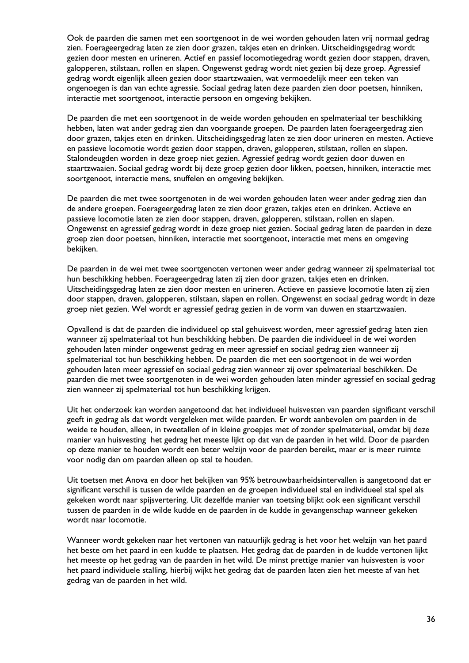Ook de paarden die samen met een soortgenoot in de wei worden gehouden laten vrij normaal gedrag zien. Foerageergedrag laten ze zien door grazen, takjes eten en drinken. Uitscheidingsgedrag wordt gezien door mesten en urineren. Actief en passief locomotiegedrag wordt gezien door stappen, draven, galopperen, stilstaan, rollen en slapen. Ongewenst gedrag wordt niet gezien bij deze groep. Agressief gedrag wordt eigenlijk alleen gezien door staartzwaaien, wat vermoedelijk meer een teken van ongenoegen is dan van echte agressie. Sociaal gedrag laten deze paarden zien door poetsen, hinniken, interactie met soortgenoot, interactie persoon en omgeving bekijken.

De paarden die met een soortgenoot in de weide worden gehouden en spelmateriaal ter beschikking hebben, laten wat ander gedrag zien dan voorgaande groepen. De paarden laten foerageergedrag zien door grazen, takjes eten en drinken. Uitscheidingsgedrag laten ze zien door urineren en mesten. Actieve en passieve locomotie wordt gezien door stappen, draven, galopperen, stilstaan, rollen en slapen. Stalondeugden worden in deze groep niet gezien. Agressief gedrag wordt gezien door duwen en staartzwaaien. Sociaal gedrag wordt bij deze groep gezien door likken, poetsen, hinniken, interactie met soortgenoot, interactie mens, snuffelen en omgeving bekijken.

De paarden die met twee soortgenoten in de wei worden gehouden laten weer ander gedrag zien dan de andere groepen. Foerageergedrag laten ze zien door grazen, takjes eten en drinken. Actieve en passieve locomotie laten ze zien door stappen, draven, galopperen, stilstaan, rollen en slapen. Ongewenst en agressief gedrag wordt in deze groep niet gezien. Sociaal gedrag laten de paarden in deze groep zien door poetsen, hinniken, interactie met soortgenoot, interactie met mens en omgeving bekijken.

De paarden in de wei met twee soortgenoten vertonen weer ander gedrag wanneer zij spelmateriaal tot hun beschikking hebben. Foerageergedrag laten zij zien door grazen, takjes eten en drinken. Uitscheidingsgedrag laten ze zien door mesten en urineren. Actieve en passieve locomotie laten zij zien door stappen, draven, galopperen, stilstaan, slapen en rollen. Ongewenst en sociaal gedrag wordt in deze groep niet gezien. Wel wordt er agressief gedrag gezien in de vorm van duwen en staartzwaaien.

Opvallend is dat de paarden die individueel op stal gehuisvest worden, meer agressief gedrag laten zien wanneer zij spelmateriaal tot hun beschikking hebben. De paarden die individueel in de wei worden gehouden laten minder ongewenst gedrag en meer agressief en sociaal gedrag zien wanneer zij spelmateriaal tot hun beschikking hebben. De paarden die met een soortgenoot in de wei worden gehouden laten meer agressief en sociaal gedrag zien wanneer zij over spelmateriaal beschikken. De paarden die met twee soortgenoten in de wei worden gehouden laten minder agressief en sociaal gedrag zien wanneer zij spelmateriaal tot hun beschikking krijgen.

Uit het onderzoek kan worden aangetoond dat het individueel huisvesten van paarden significant verschil geeft in gedrag als dat wordt vergeleken met wilde paarden. Er wordt aanbevolen om paarden in de weide te houden, alleen, in tweetallen of in kleine groepjes met of zonder spelmateriaal, omdat bij deze manier van huisvesting het gedrag het meeste lijkt op dat van de paarden in het wild. Door de paarden op deze manier te houden wordt een beter welzijn voor de paarden bereikt, maar er is meer ruimte voor nodig dan om paarden alleen op stal te houden.

Uit toetsen met Anova en door het bekijken van 95% betrouwbaarheidsintervallen is aangetoond dat er significant verschil is tussen de wilde paarden en de groepen individueel stal en individueel stal spel als gekeken wordt naar spijsvertering. Uit dezelfde manier van toetsing blijkt ook een significant verschil tussen de paarden in de wilde kudde en de paarden in de kudde in gevangenschap wanneer gekeken wordt naar locomotie.

Wanneer wordt gekeken naar het vertonen van natuurlijk gedrag is het voor het welzijn van het paard het beste om het paard in een kudde te plaatsen. Het gedrag dat de paarden in de kudde vertonen lijkt het meeste op het gedrag van de paarden in het wild. De minst prettige manier van huisvesten is voor het paard individuele stalling, hierbij wijkt het gedrag dat de paarden laten zien het meeste af van het gedrag van de paarden in het wild.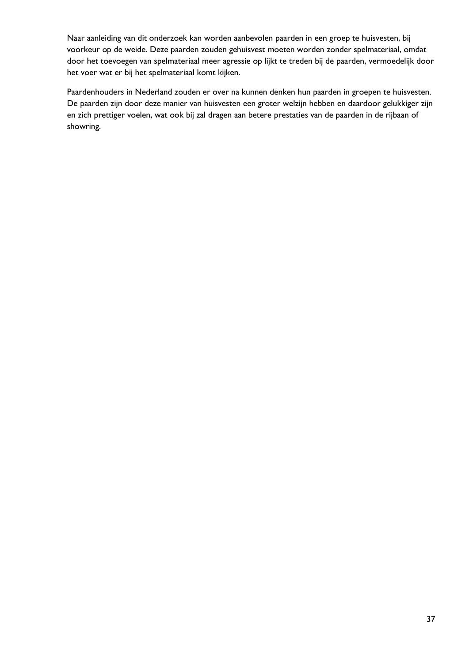Naar aanleiding van dit onderzoek kan worden aanbevolen paarden in een groep te huisvesten, bij voorkeur op de weide. Deze paarden zouden gehuisvest moeten worden zonder spelmateriaal, omdat door het toevoegen van spelmateriaal meer agressie op lijkt te treden bij de paarden, vermoedelijk door het voer wat er bij het spelmateriaal komt kijken.

Paardenhouders in Nederland zouden er over na kunnen denken hun paarden in groepen te huisvesten. De paarden zijn door deze manier van huisvesten een groter welzijn hebben en daardoor gelukkiger zijn en zich prettiger voelen, wat ook bij zal dragen aan betere prestaties van de paarden in de rijbaan of showring.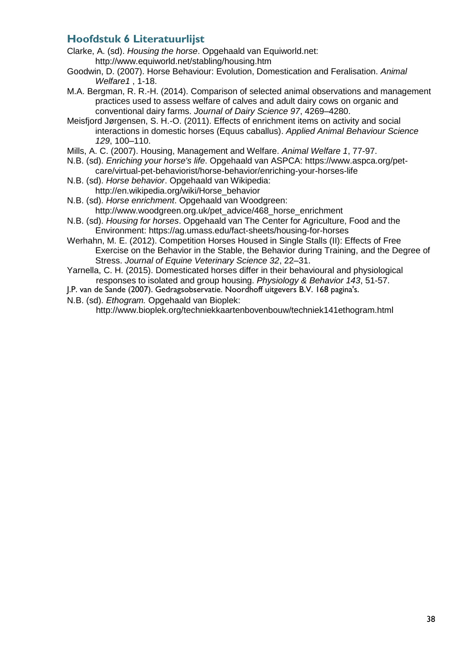## <span id="page-39-0"></span>**Hoofdstuk 6 Literatuurlijst**

- Clarke, A. (sd). *Housing the horse*. Opgehaald van Equiworld.net: http://www.equiworld.net/stabling/housing.htm
- Goodwin, D. (2007). Horse Behaviour: Evolution, Domestication and Feralisation. *Animal Welfare1* , 1-18.
- M.A. Bergman, R. R.-H. (2014). Comparison of selected animal observations and management practices used to assess welfare of calves and adult dairy cows on organic and conventional dairy farms. *Journal of Dairy Science 97*, 4269–4280.
- Meisfjord Jørgensen, S. H.-O. (2011). Effects of enrichment items on activity and social interactions in domestic horses (Equus caballus). *Applied Animal Behaviour Science 129*, 100–110.
- Mills, A. C. (2007). Housing, Management and Welfare. *Animal Welfare 1*, 77-97.
- N.B. (sd). *Enriching your horse's life*. Opgehaald van ASPCA: https://www.aspca.org/petcare/virtual-pet-behaviorist/horse-behavior/enriching-your-horses-life
- N.B. (sd). *Horse behavior*. Opgehaald van Wikipedia: http://en.wikipedia.org/wiki/Horse\_behavior
- N.B. (sd). *Horse enrichment*. Opgehaald van Woodgreen: http://www.woodgreen.org.uk/pet\_advice/468\_horse\_enrichment
- N.B. (sd). *Housing for horses*. Opgehaald van The Center for Agriculture, Food and the Environment: https://ag.umass.edu/fact-sheets/housing-for-horses
- Werhahn, M. E. (2012). Competition Horses Housed in Single Stalls (II): Effects of Free Exercise on the Behavior in the Stable, the Behavior during Training, and the Degree of Stress. *Journal of Equine Veterinary Science 32*, 22–31.
- Yarnella, C. H. (2015). Domesticated horses differ in their behavioural and physiological responses to isolated and group housing. *Physiology & Behavior 143*, 51-57.
- J.P. van de Sande (2007). Gedragsobservatie. Noordhoff uitgevers B.V. 168 pagina's.
- N.B. (sd). *Ethogram.* Opgehaald van Bioplek:

<http://www.bioplek.org/techniekkaartenbovenbouw/techniek141ethogram.html>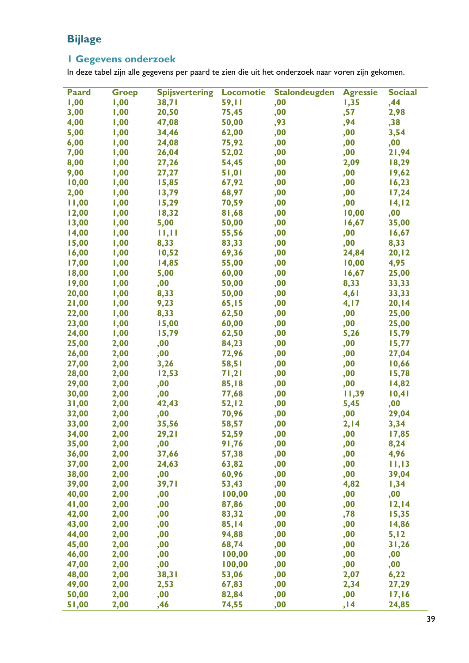## <span id="page-40-0"></span>**Bijlage**

## <span id="page-40-1"></span>**1 Gegevens onderzoek**

In deze tabel zijn alle gegevens per paard te zien die uit het onderzoek naar voren zijn gekomen.

| <b>Paard</b> | <b>Groep</b> | <b>Spijsvertering</b> | <b>Locomotie</b> | <b>Stalondeugden</b> | <b>Agressie</b> | <b>Sociaal</b> |
|--------------|--------------|-----------------------|------------------|----------------------|-----------------|----------------|
| 1,00         | 1,00         | 38,71                 | 59,11            | ,00                  | 1,35            | ,44            |
| 3,00         | 1,00         | 20,50                 | 75,45            | ,00                  | ,57             | 2,98           |
| 4,00         | 1,00         | 47,08                 | 50,00            | ,93                  | ,94             | ,38            |
| 5,00         | 1,00         | 34,46                 | 62,00            | ,00                  | ,00             | 3,54           |
| 6,00         | 1,00         | 24,08                 | 75,92            | ,00                  | ,00             | ,00            |
| 7,00         | 1,00         | 26,04                 | 52,02            | ,00                  | ,00             | 21,94          |
| 8,00         | 1,00         | 27,26                 | 54,45            | ,00                  | 2,09            | 18,29          |
| 9,00         | 1,00         | 27,27                 | 51,01            | ,00                  | ,00             | 19,62          |
| 10,00        | 1,00         | 15,85                 | 67,92            | ,00                  | ,00             | 16,23          |
| 2,00         | 1,00         | 13,79                 | 68,97            | ,00                  | ,00             | 17,24          |
| 11,00        | 1,00         | 15,29                 | 70,59            | ,00                  | ,00             | 14,12          |
| 12,00        | 1,00         | 18,32                 | 81,68            | ,00                  | 10,00           | ,00            |
| 13,00        | 1,00         | 5,00                  | 50,00            | ,00                  | 16,67           | 35,00          |
| 14,00        | 1,00         | 11,11                 | 55,56            | ,00                  | ,00             | 16,67          |
| 15,00        | 1,00         | 8,33                  | 83,33            | ,00                  | ,00             | 8,33           |
| 16,00        | 1,00         | 10,52                 | 69,36            | ,00                  | 24,84           | 20, 12         |
| 17,00        | 1,00         | 14,85                 | 55,00            | ,00                  | 10,00           | 4,95           |
| 18,00        | 1,00         | 5,00                  | 60,00            | ,00                  | 16,67           | 25,00          |
| 19,00        | 1,00         | ,00                   | 50,00            | ,00                  | 8,33            | 33,33          |
| 20,00        | 1,00         | 8,33                  | 50,00            | ,00                  | 4,61            | 33,33          |
| 21,00        | 1,00         | 9,23                  | 65,15            | ,00                  | 4,17            | 20,14          |
| 22,00        | 1,00         | 8,33                  | 62,50            | ,00                  | ,00             | 25,00          |
| 23,00        | 1,00         | 15,00                 | 60,00            | ,00                  | ,00             | 25,00          |
| 24,00        | 1,00         | 15,79                 | 62,50            | ,00                  | 5,26            | 15,79          |
| 25,00        | 2,00         | ,00                   | 84,23            | ,00                  | ,00             | 15,77          |
| 26,00        | 2,00         | ,00                   | 72,96            | ,00                  | ,00             | 27,04          |
| 27,00        | 2,00         | 3,26                  | 58,51            | ,00                  | ,00             | 10,66          |
| 28,00        | 2,00         | 12,53                 | 71,21            | ,00                  | ,00             | 15,78          |
| 29,00        | 2,00         | ,00                   | 85,18            | ,00                  | ,00             | 14,82          |
| 30,00        | 2,00         | ,00                   | 77,68            | ,00                  | 11,39           | 10,41          |
| 31,00        | 2,00         | 42,43                 | 52,12            | ,00                  | 5,45            | ,00            |
| 32,00        | 2,00         | ,00                   | 70,96            | ,00                  | ,00             | 29,04          |
| 33,00        | 2,00         | 35,56                 | 58,57            | ,00                  | 2,14            | 3,34           |
| 34,00        | 2,00         | 29,21                 | 52,59            | ,00                  | ,00             | 17,85          |
| 35,00        | 2,00         | ,00                   | 91,76            | ,00                  | ,00             | 8,24           |
| 36,00        | 2,00         | 37,66                 | 57,38            | ,00                  | ,00             | 4,96           |
| 37,00        | 2,00         | 24,63                 | 63,82            | ,00                  | ,00             | 11,13          |
| 38,00        | 2,00         | ,00                   | 60,96            | ,00                  | ,00             | 39,04          |
| 39,00        | 2,00         | 39,71                 | 53,43            | ,00                  | 4,82            | 1,34           |
| 40,00        | 2,00         | ,00                   | 100,00           | ,00                  | ,00             | ,00            |
| 41,00        | 2,00         | ,00                   | 87,86            | ,00                  | ,00             | 12,14          |
| 42,00        | 2,00         | ,00                   | 83,32            | ,00                  | ,78             | 15,35          |
| 43,00        | 2,00         | ,00                   | 85,14            | ,00                  | ,00             | 14,86          |
| 44,00        | 2,00         | ,00                   | 94,88            | ,00                  | ,00             | 5,12           |
| 45,00        | 2,00         | ,00                   | 68,74            | ,00                  | ,00             | 31,26          |
| 46,00        | 2,00         | ,00                   | 100,00           | ,00                  | ,00             | ,00            |
| 47,00        | 2,00         | ,00                   | 100,00           | ,00                  | ,00             | ,00            |
| 48,00        | 2,00         | 38,31                 | 53,06            | ,00                  | 2,07            | 6,22           |
| 49,00        | 2,00         | 2,53                  | 67,83            | ,00                  | 2,34            | 27,29          |
| 50,00        | 2,00         | ,00                   | 82,84            | ,00                  | ,00             | 17,16          |
| 51,00        | 2,00         | ,46                   | 74,55            | ,00                  | , 14            | 24,85          |
|              |              |                       |                  |                      |                 |                |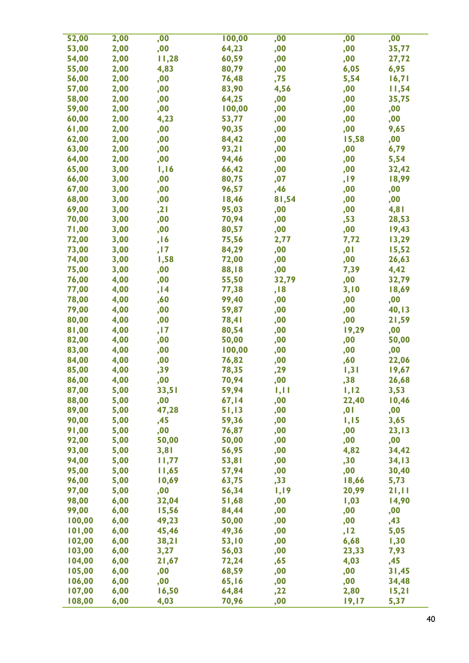| 52,00  | 2,00 | ,00   | 100,00       | ,00   | ,00   | ,00   |
|--------|------|-------|--------------|-------|-------|-------|
| 53,00  | 2,00 | ,00   | 64,23        | ,00   | ,00   | 35,77 |
| 54,00  | 2,00 | 11,28 | 60,59        | ,00   | ,00   | 27,72 |
| 55,00  | 2,00 | 4,83  | 80,79        | ,00   | 6,05  | 6,95  |
| 56,00  | 2,00 | ,00   | 76,48        | ,75   | 5,54  | 16,71 |
| 57,00  | 2,00 | ,00   | 83,90        | 4,56  | ,00   | 11,54 |
| 58,00  | 2,00 | ,00   | 64,25        | ,00   | ,00   | 35,75 |
| 59,00  | 2,00 | ,00   | 100,00       | ,00   | ,00   | ,00   |
| 60,00  | 2,00 | 4,23  | 53,77        | ,00   | ,00   | ,00   |
| 61,00  | 2,00 | ,00   | 90,35        | ,00   | ,00   | 9,65  |
| 62,00  | 2,00 | ,00   | 84,42        | ,00   | 15,58 | ,00   |
| 63,00  | 2,00 | ,00   | 93,21        | ,00   | ,00   | 6,79  |
| 64,00  | 2,00 | ,00   | 94,46        | ,00   | ,00   | 5,54  |
| 65,00  | 3,00 | 1,16  | 66,42        | ,00   | ,00   | 32,42 |
| 66,00  | 3,00 | ,00   | 80,75        | ,07   | ,19   | 18,99 |
| 67,00  | 3,00 | ,00   | 96,57        | ,46   | ,00   | ,00   |
| 68,00  | 3,00 | ,00   | 18,46        | 81,54 | ,00   | ,00   |
| 69,00  | 3,00 | , 21  | 95,03        | ,00   | ,00   | 4,81  |
| 70,00  | 3,00 | ,00   | 70,94        | ,00   | ,53   | 28,53 |
| 71,00  | 3,00 | ,00   | 80,57        | ,00   | ,00   | 19,43 |
| 72,00  | 3,00 | , 16  | 75,56        | 2,77  | 7,72  | 13,29 |
| 73,00  | 3,00 | ,17   | 84,29        | ,00   | ,01   | 15,52 |
| 74,00  | 3,00 | 1,58  | 72,00        | ,00   | ,00   | 26,63 |
| 75,00  | 3,00 | ,00   | 88,18        | ,00   | 7,39  | 4,42  |
| 76,00  | 4,00 | ,00   | 55,50        | 32,79 | ,00   | 32,79 |
| 77,00  | 4,00 | , 14  | 77,38        | ,18   | 3,10  | 18,69 |
| 78,00  | 4,00 | ,60   | 99,40        | ,00   | ,00   | ,00   |
| 79,00  | 4,00 | ,00   | 59,87        | ,00   | ,00   | 40,13 |
| 80,00  | 4,00 | ,00   | <b>78,41</b> | ,00   | ,00   | 21,59 |
| 81,00  | 4,00 | ,17   | 80,54        | ,00   | 19,29 | ,00   |
| 82,00  | 4,00 | ,00   | 50,00        | ,00   | ,00   | 50,00 |
| 83,00  | 4,00 | ,00   | 100,00       | ,00   | ,00   | ,00   |
| 84,00  | 4,00 | ,00   | 76,82        | ,00   | ,60   | 22,06 |
| 85,00  | 4,00 | ,39   | 78,35        | ,29   | 1,31  | 19,67 |
| 86,00  | 4,00 | ,00   | 70,94        | ,00   | ,38   | 26,68 |
| 87,00  | 5,00 | 33,51 | 59,94        | 1,11  | 1,12  | 3,53  |
| 88,00  | 5,00 | ,00   | 67,14        | ,00   | 22,40 | 10,46 |
| 89,00  | 5,00 | 47,28 | 51,13        | ,00   | ,01   | ,00   |
| 90,00  | 5,00 | ,45   | 59,36        | ,00   | 1,15  | 3,65  |
| 91,00  | 5,00 | ,00   | 76,87        | ,00   | ,00   | 23,13 |
| 92,00  | 5,00 | 50,00 | 50,00        | ,00   | ,00   | ,00   |
| 93,00  | 5,00 | 3,81  | 56,95        | ,00   | 4,82  | 34,42 |
| 94,00  | 5,00 | 11,77 | 53,81        | ,00   | ,30   | 34,13 |
| 95,00  | 5,00 | 11,65 | 57,94        | ,00   | ,00   | 30,40 |
| 96,00  | 5,00 | 10,69 | 63,75        | , 33  | 18,66 | 5,73  |
| 97,00  | 5,00 | ,00   | 56,34        | 1,19  | 20,99 | 21,11 |
| 98,00  | 6,00 | 32,04 | 51,68        | ,00   | 1,03  | 14,90 |
| 99,00  | 6,00 | 15,56 | 84,44        | ,00   | ,00   | ,00   |
| 100,00 | 6,00 | 49,23 | 50,00        | ,00   | ,00   | ,43   |
| 101,00 | 6,00 | 45,46 | 49,36        | ,00   | , 12  | 5,05  |
| 102,00 | 6,00 | 38,21 | 53,10        | ,00   | 6,68  | 1,30  |
| 103,00 | 6,00 | 3,27  | 56,03        | ,00   | 23,33 | 7,93  |
| 104,00 | 6,00 | 21,67 | 72,24        | ,65   | 4,03  | ,45   |
| 105,00 | 6,00 | ,00   | 68,59        | ,00   | ,00   | 31,45 |
| 106,00 | 6,00 | ,00   | 65, 16       | ,00   | ,00   | 34,48 |
| 107,00 | 6,00 | 16,50 | 64,84        | ,22   | 2,80  | 15,21 |
| 108,00 | 6,00 | 4,03  | 70,96        | ,00   | 19,17 | 5,37  |
|        |      |       |              |       |       |       |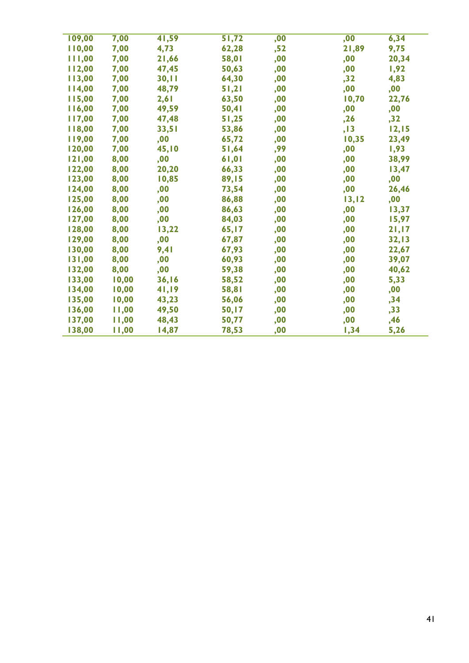| 109,00 | 7,00  | 41,59 | 51,72 | ,00 | ,00    | 6,34  |
|--------|-------|-------|-------|-----|--------|-------|
| 110,00 | 7,00  | 4,73  | 62,28 | ,52 | 21,89  | 9,75  |
| 111,00 | 7,00  | 21,66 | 58,01 | ,00 | ,00    | 20,34 |
| 112,00 | 7,00  | 47,45 | 50,63 | ,00 | ,00    | 1,92  |
| 113,00 | 7,00  | 30,11 | 64,30 | ,00 | , 32   | 4,83  |
| 114,00 | 7,00  | 48,79 | 51,21 | ,00 | ,00    | ,00   |
| 115,00 | 7,00  | 2,61  | 63,50 | ,00 | 10,70  | 22,76 |
| 116,00 | 7,00  | 49,59 | 50,41 | ,00 | ,00    | ,00   |
| 117,00 | 7,00  | 47,48 | 51,25 | ,00 | ,26    | , 32  |
| 118,00 | 7,00  | 33,51 | 53,86 | ,00 | , 13   | 12,15 |
| 119,00 | 7,00  | ,00   | 65,72 | ,00 | 10,35  | 23,49 |
| 120,00 | 7,00  | 45,10 | 51,64 | ,99 | ,00    | 1,93  |
| 121,00 | 8,00  | ,00   | 61,01 | ,00 | ,00    | 38,99 |
| 122,00 | 8,00  | 20,20 | 66,33 | ,00 | ,00    | 13,47 |
| 123,00 | 8,00  | 10,85 | 89,15 | ,00 | ,00    | ,00   |
| 124,00 | 8,00  | ,00   | 73,54 | ,00 | ,00    | 26,46 |
| 125,00 | 8,00  | ,00   | 86,88 | ,00 | 13, 12 | ,00   |
| 126,00 | 8,00  | ,00   | 86,63 | ,00 | ,00    | 13,37 |
| 127,00 | 8,00  | ,00   | 84,03 | ,00 | ,00    | 15,97 |
| 128,00 | 8,00  | 13,22 | 65,17 | ,00 | ,00    | 21,17 |
| 129,00 | 8,00  | ,00   | 67,87 | ,00 | ,00    | 32,13 |
| 130,00 | 8,00  | 9,41  | 67,93 | ,00 | ,00    | 22,67 |
| 131,00 | 8,00  | ,00   | 60,93 | ,00 | ,00    | 39,07 |
| 132,00 | 8,00  | ,00   | 59,38 | ,00 | ,00    | 40,62 |
| 133,00 | 10,00 | 36,16 | 58,52 | ,00 | ,00    | 5,33  |
| 134,00 | 10,00 | 41,19 | 58,81 | ,00 | ,00    | ,00   |
| 135,00 | 10,00 | 43,23 | 56,06 | ,00 | ,00    | ,34   |
| 136,00 | 11,00 | 49,50 | 50,17 | ,00 | ,00    | , 33  |
| 137,00 | 11,00 | 48,43 | 50,77 | ,00 | ,00    | ,46   |
| 138,00 | 11,00 | 14,87 | 78,53 | ,00 | 1,34   | 5,26  |
|        |       |       |       |     |        |       |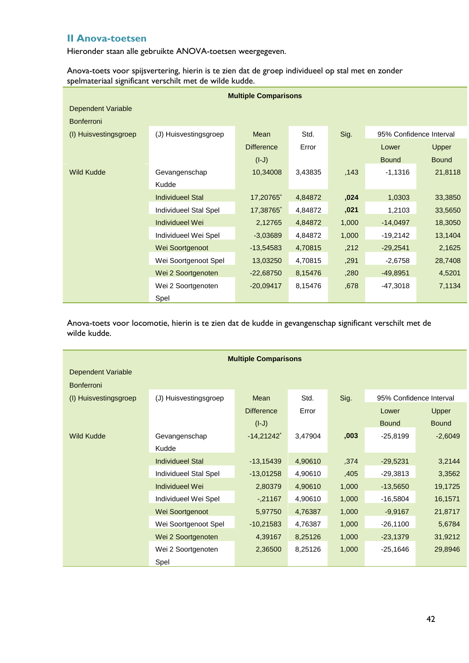## <span id="page-43-0"></span>**II Anova-toetsen**

Hieronder staan alle gebruikte ANOVA-toetsen weergegeven.

Anova-toets voor spijsvertering, hierin is te zien dat de groep individueel op stal met en zonder spelmateriaal significant verschilt met de wilde kudde.

| <b>Multiple Comparisons</b> |                         |                   |         |       |                         |              |  |  |  |  |
|-----------------------------|-------------------------|-------------------|---------|-------|-------------------------|--------------|--|--|--|--|
| Dependent Variable          |                         |                   |         |       |                         |              |  |  |  |  |
| <b>Bonferroni</b>           |                         |                   |         |       |                         |              |  |  |  |  |
| (I) Huisvestingsgroep       | (J) Huisvestingsgroep   | Mean              | Std.    | Sig.  | 95% Confidence Interval |              |  |  |  |  |
|                             |                         | <b>Difference</b> | Error   |       | Lower                   | Upper        |  |  |  |  |
|                             |                         | $(I-J)$           |         |       | <b>Bound</b>            | <b>Bound</b> |  |  |  |  |
| <b>Wild Kudde</b>           | Gevangenschap           | 10,34008          | 3,43835 | ,143  | $-1,1316$               | 21,8118      |  |  |  |  |
|                             | Kudde                   |                   |         |       |                         |              |  |  |  |  |
|                             | <b>Individueel Stal</b> | 17,20765*         | 4,84872 | ,024  | 1,0303                  | 33,3850      |  |  |  |  |
|                             | Individueel Stal Spel   | 17,38765*         | 4,84872 | ,021  | 1,2103                  | 33,5650      |  |  |  |  |
|                             | Individueel Wei         | 2,12765           | 4,84872 | 1,000 | $-14,0497$              | 18,3050      |  |  |  |  |
|                             | Individueel Wei Spel    | $-3,03689$        | 4,84872 | 1,000 | $-19,2142$              | 13,1404      |  |  |  |  |
|                             | Wei Soortgenoot         | $-13,54583$       | 4,70815 | ,212  | $-29,2541$              | 2,1625       |  |  |  |  |
|                             | Wei Soortgenoot Spel    | 13,03250          | 4,70815 | ,291  | $-2,6758$               | 28,7408      |  |  |  |  |
|                             | Wei 2 Soortgenoten      | $-22,68750$       | 8,15476 | ,280  | $-49,8951$              | 4,5201       |  |  |  |  |
|                             | Wei 2 Soortgenoten      | $-20,09417$       | 8,15476 | ,678  | $-47,3018$              | 7,1134       |  |  |  |  |
|                             | Spel                    |                   |         |       |                         |              |  |  |  |  |

Anova-toets voor locomotie, hierin is te zien dat de kudde in gevangenschap significant verschilt met de wilde kudde.

| <b>Multiple Comparisons</b> |                         |                          |                  |               |              |                         |  |  |  |  |  |  |  |
|-----------------------------|-------------------------|--------------------------|------------------|---------------|--------------|-------------------------|--|--|--|--|--|--|--|
| <b>Dependent Variable</b>   |                         |                          |                  |               |              |                         |  |  |  |  |  |  |  |
| <b>Bonferroni</b>           |                         |                          |                  |               |              |                         |  |  |  |  |  |  |  |
| (I) Huisvestingsgroep       | (J) Huisvestingsgroep   | Mean                     | Std.             | Sig.          |              | 95% Confidence Interval |  |  |  |  |  |  |  |
|                             |                         | <b>Difference</b>        | Error            |               | Lower        | Upper                   |  |  |  |  |  |  |  |
|                             |                         | $(I-J)$                  |                  |               | <b>Bound</b> | <b>Bound</b>            |  |  |  |  |  |  |  |
| <b>Wild Kudde</b>           | Gevangenschap           | $-14,21242$ <sup>*</sup> | 3,47904          | .003          | -25,8199     | $-2,6049$               |  |  |  |  |  |  |  |
|                             | Kudde                   |                          |                  |               |              |                         |  |  |  |  |  |  |  |
|                             | <b>Individueel Stal</b> | $-13,15439$              | 4,90610          | ,374          | $-29,5231$   | 3,2144                  |  |  |  |  |  |  |  |
|                             | Individueel Stal Spel   | $-13,01258$              | 4,90610          | ,405<br>1,000 | $-29,3813$   | 3,3562                  |  |  |  |  |  |  |  |
|                             | Individueel Wei         | 2,80379                  | 4,90610          |               | $-13,5650$   | 19,1725                 |  |  |  |  |  |  |  |
|                             | Individueel Wei Spel    | $-21167$                 | 4,90610          | 1,000         | $-16,5804$   | 16,1571                 |  |  |  |  |  |  |  |
|                             | Wei Soortgenoot         | 5,97750                  | 4,76387<br>1,000 |               | $-9,9167$    | 21,8717                 |  |  |  |  |  |  |  |
|                             | Wei Soortgenoot Spel    | $-10,21583$              | 4,76387          | 1,000         | $-26,1100$   | 5,6784                  |  |  |  |  |  |  |  |
|                             | Wei 2 Soortgenoten      | 4,39167                  | 8,25126          | 1,000         | $-23,1379$   | 31,9212                 |  |  |  |  |  |  |  |
|                             | Wei 2 Soortgenoten      | 2,36500                  | 8,25126          | 1,000         | $-25,1646$   | 29,8946                 |  |  |  |  |  |  |  |
|                             | Spel                    |                          |                  |               |              |                         |  |  |  |  |  |  |  |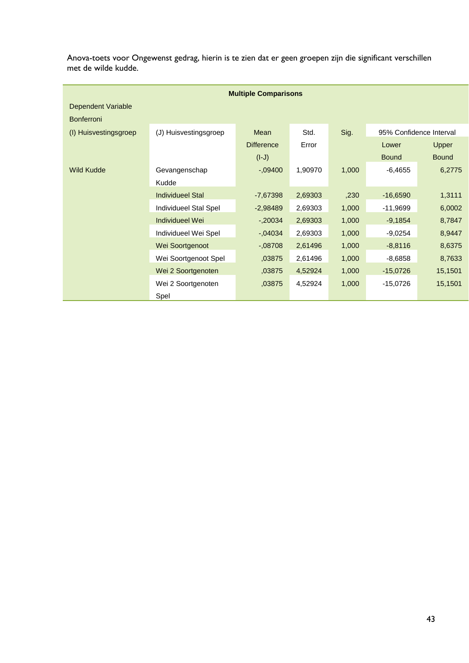Anova-toets voor Ongewenst gedrag, hierin is te zien dat er geen groepen zijn die significant verschillen met de wilde kudde.

| <b>Multiple Comparisons</b> |                         |                   |         |       |                         |              |  |  |  |  |  |  |  |
|-----------------------------|-------------------------|-------------------|---------|-------|-------------------------|--------------|--|--|--|--|--|--|--|
| Dependent Variable          |                         |                   |         |       |                         |              |  |  |  |  |  |  |  |
| <b>Bonferroni</b>           |                         |                   |         |       |                         |              |  |  |  |  |  |  |  |
| (I) Huisvestingsgroep       | (J) Huisvestingsgroep   | Mean              | Std.    | Sig.  | 95% Confidence Interval |              |  |  |  |  |  |  |  |
|                             |                         | <b>Difference</b> | Error   |       | Lower                   | Upper        |  |  |  |  |  |  |  |
|                             |                         | $(L-I)$           |         |       | <b>Bound</b>            | <b>Bound</b> |  |  |  |  |  |  |  |
| <b>Wild Kudde</b>           | Gevangenschap           | $-0.09400$        | 1,90970 | 1,000 | $-6,4655$               | 6,2775       |  |  |  |  |  |  |  |
|                             | Kudde                   |                   |         |       |                         |              |  |  |  |  |  |  |  |
|                             | <b>Individueel Stal</b> | $-7,67398$        | 2,69303 | ,230  | $-16,6590$              | 1,3111       |  |  |  |  |  |  |  |
|                             | Individueel Stal Spel   | $-2,98489$        | 2,69303 | 1,000 | $-11,9699$              | 6,0002       |  |  |  |  |  |  |  |
|                             | Individueel Wei         | $-0.20034$        | 2,69303 | 1,000 | $-9,1854$               | 8,7847       |  |  |  |  |  |  |  |
|                             | Individueel Wei Spel    | $-0.04034$        | 2,69303 | 1,000 | $-9,0254$               | 8,9447       |  |  |  |  |  |  |  |
|                             | Wei Soortgenoot         | $-08708$          | 2,61496 | 1,000 | $-8,8116$               | 8,6375       |  |  |  |  |  |  |  |
|                             | Wei Soortgenoot Spel    | .03875            | 2,61496 | 1,000 | $-8,6858$               | 8,7633       |  |  |  |  |  |  |  |
|                             | Wei 2 Soortgenoten      | ,03875            | 4,52924 | 1,000 | $-15,0726$              | 15,1501      |  |  |  |  |  |  |  |
|                             | Wei 2 Soortgenoten      | ,03875            | 4,52924 | 1,000 | $-15,0726$              | 15,1501      |  |  |  |  |  |  |  |
|                             | Spel                    |                   |         |       |                         |              |  |  |  |  |  |  |  |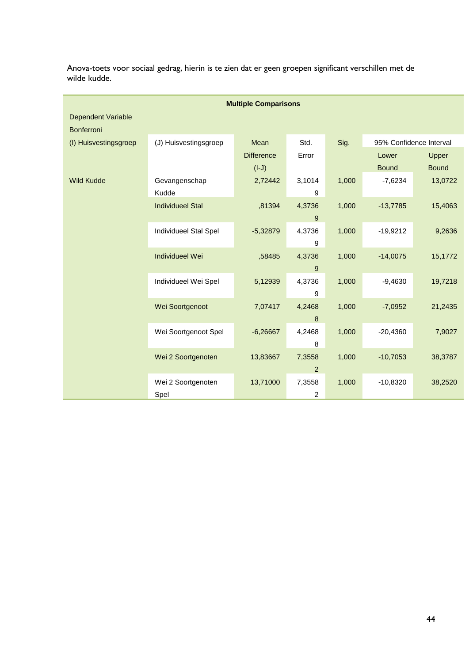| Anova-toets voor sociaal gedrag, hierin is te zien dat er geen groepen significant verschillen met de |  |  |  |  |  |  |
|-------------------------------------------------------------------------------------------------------|--|--|--|--|--|--|
| wilde kudde.                                                                                          |  |  |  |  |  |  |

|                       |                         | <b>Multiple Comparisons</b> |                  |       |                         |              |
|-----------------------|-------------------------|-----------------------------|------------------|-------|-------------------------|--------------|
| Dependent Variable    |                         |                             |                  |       |                         |              |
| <b>Bonferroni</b>     |                         |                             |                  |       |                         |              |
| (I) Huisvestingsgroep | (J) Huisvestingsgroep   | Mean                        | Std.             | Sig.  | 95% Confidence Interval |              |
|                       |                         | <b>Difference</b>           | Error            |       | Lower                   | Upper        |
|                       |                         | $(I-J)$                     |                  |       | <b>Bound</b>            | <b>Bound</b> |
| <b>Wild Kudde</b>     | Gevangenschap           | 2,72442                     | 3,1014           | 1,000 | $-7,6234$               | 13,0722      |
|                       | Kudde                   |                             | 9                |       |                         |              |
|                       | <b>Individueel Stal</b> | ,81394                      | 4,3736           | 1,000 | $-13,7785$              | 15,4063      |
|                       |                         |                             | 9                |       |                         |              |
|                       | Individueel Stal Spel   | $-5,32879$                  | 4,3736           | 1,000 | $-19,9212$              | 9,2636       |
|                       |                         |                             | 9                |       |                         |              |
|                       | <b>Individueel Wei</b>  | .58485                      | 4,3736           | 1,000 | $-14,0075$              | 15,1772      |
|                       |                         |                             | 9                |       |                         |              |
|                       | Individueel Wei Spel    | 5,12939                     | 4,3736           | 1,000 | $-9,4630$               | 19,7218      |
|                       |                         |                             | 9                |       |                         |              |
|                       | Wei Soortgenoot         | 7,07417                     | 4,2468           | 1,000 | $-7,0952$               | 21,2435      |
|                       |                         |                             | $\boldsymbol{8}$ |       |                         |              |
|                       | Wei Soortgenoot Spel    | $-6,26667$                  | 4,2468           | 1,000 | $-20,4360$              | 7,9027       |
|                       |                         |                             | 8                |       |                         |              |
|                       | Wei 2 Soortgenoten      | 13,83667                    | 7,3558           | 1,000 | $-10,7053$              | 38,3787      |
|                       |                         |                             | $\overline{2}$   |       |                         |              |
|                       | Wei 2 Soortgenoten      | 13,71000                    | 7,3558           | 1,000 | $-10,8320$              | 38,2520      |
|                       | Spel                    |                             | 2                |       |                         |              |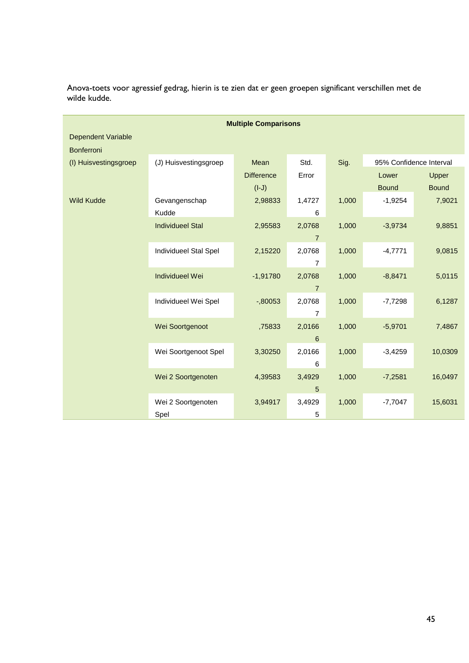| <b>Multiple Comparisons</b> |                                                |                   |                |       |                         |              |  |  |  |
|-----------------------------|------------------------------------------------|-------------------|----------------|-------|-------------------------|--------------|--|--|--|
| Dependent Variable          |                                                |                   |                |       |                         |              |  |  |  |
| Bonferroni                  | Mean                                           |                   |                |       |                         |              |  |  |  |
|                             | (I) Huisvestingsgroep<br>(J) Huisvestingsgroep |                   | Std.           | Sig.  | 95% Confidence Interval |              |  |  |  |
|                             |                                                | <b>Difference</b> | Error          |       | Lower                   | Upper        |  |  |  |
|                             |                                                | $(I-J)$           |                |       | <b>Bound</b>            | <b>Bound</b> |  |  |  |
| <b>Wild Kudde</b>           | Gevangenschap                                  | 2,98833           | 1,4727         | 1,000 | $-1,9254$               | 7,9021       |  |  |  |
|                             | Kudde                                          |                   | 6              |       |                         |              |  |  |  |
|                             | <b>Individueel Stal</b>                        | 2,95583           | 2,0768         | 1,000 | $-3,9734$               | 9,8851       |  |  |  |
|                             |                                                |                   | $\overline{7}$ |       |                         |              |  |  |  |
|                             | Individueel Stal Spel                          | 2,15220           | 2,0768         | 1,000 | $-4,7771$               | 9,0815       |  |  |  |
|                             |                                                |                   | $\overline{7}$ |       |                         |              |  |  |  |
|                             | <b>Individueel Wei</b>                         | $-1,91780$        | 2,0768         | 1,000 | $-8,8471$               | 5,0115       |  |  |  |
|                             |                                                |                   | $\overline{7}$ |       |                         |              |  |  |  |
|                             | Individueel Wei Spel                           | $-0.80053$        | 2,0768         | 1,000 | $-7,7298$               | 6,1287       |  |  |  |
|                             |                                                |                   | 7              |       |                         |              |  |  |  |
|                             | Wei Soortgenoot                                | ,75833            | 2,0166         | 1,000 | $-5,9701$               | 7,4867       |  |  |  |
|                             |                                                |                   | 6              |       |                         |              |  |  |  |
|                             |                                                |                   |                |       |                         |              |  |  |  |
|                             | Wei Soortgenoot Spel                           | 3,30250           | 2,0166         | 1,000 | $-3,4259$               | 10,0309      |  |  |  |
|                             |                                                |                   | 6              |       |                         |              |  |  |  |
|                             | Wei 2 Soortgenoten                             | 4,39583           | 3,4929         | 1,000 | $-7,2581$               | 16,0497      |  |  |  |
|                             |                                                |                   | 5              |       |                         |              |  |  |  |
|                             | Wei 2 Soortgenoten                             | 3,94917           | 3,4929         | 1,000 | $-7,7047$               | 15,6031      |  |  |  |
|                             | Spel                                           |                   | 5              |       |                         |              |  |  |  |

Anova-toets voor agressief gedrag, hierin is te zien dat er geen groepen significant verschillen met de wilde kudde.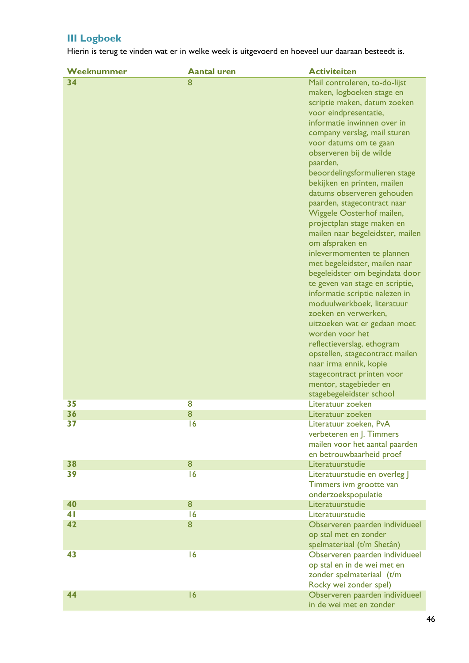## <span id="page-47-0"></span>**III Logboek**

Hierin is terug te vinden wat er in welke week is uitgevoerd en hoeveel uur daaraan besteedt is.

| Weeknummer | <b>Aantal uren</b>      | <b>Activiteiten</b>                           |
|------------|-------------------------|-----------------------------------------------|
| 34         | $\overline{\mathbf{8}}$ | Mail controleren, to-do-lijst                 |
|            |                         | maken, logboeken stage en                     |
|            |                         | scriptie maken, datum zoeken                  |
|            |                         | voor eindpresentatie,                         |
|            |                         | informatie inwinnen over in                   |
|            |                         | company verslag, mail sturen                  |
|            |                         | voor datums om te gaan                        |
|            |                         | observeren bij de wilde                       |
|            |                         | paarden,                                      |
|            |                         | beoordelingsformulieren stage                 |
|            |                         | bekijken en printen, mailen                   |
|            |                         | datums observeren gehouden                    |
|            |                         | paarden, stagecontract naar                   |
|            |                         | Wiggele Oosterhof mailen,                     |
|            |                         | projectplan stage maken en                    |
|            |                         | mailen naar begeleidster, mailen              |
|            |                         | om afspraken en                               |
|            |                         | inlevermomenten te plannen                    |
|            |                         | met begeleidster, mailen naar                 |
|            |                         | begeleidster om begindata door                |
|            |                         | te geven van stage en scriptie,               |
|            |                         | informatie scriptie nalezen in                |
|            |                         | moduulwerkboek, literatuur                    |
|            |                         | zoeken en verwerken,                          |
|            |                         | uitzoeken wat er gedaan moet                  |
|            |                         | worden voor het                               |
|            |                         | reflectieverslag, ethogram                    |
|            |                         | opstellen, stagecontract mailen               |
|            |                         | naar irma ennik, kopie                        |
|            |                         | stagecontract printen voor                    |
|            |                         | mentor, stagebieder en                        |
| 35         | 8                       | stagebegeleidster school<br>Literatuur zoeken |
| 36         | 8                       | Literatuur zoeken                             |
| 37         | 16                      | Literatuur zoeken, PvA                        |
|            |                         | verbeteren en J. Timmers                      |
|            |                         | mailen voor het aantal paarden                |
|            |                         | en betrouwbaarheid proef                      |
| 38         | 8                       | Literatuurstudie                              |
| 39         | 16                      | Literatuurstudie en overleg J                 |
|            |                         | Timmers ivm grootte van                       |
|            |                         | onderzoekspopulatie                           |
| 40         | 8                       | Literatuurstudie                              |
| 41         | 16                      | Literatuurstudie                              |
| 42         | 8                       | Observeren paarden individueel                |
|            |                         | op stal met en zonder                         |
|            |                         | spelmateriaal (t/m Shetân)                    |
| 43         | 16                      | Observeren paarden individueel                |
|            |                         | op stal en in de wei met en                   |
|            |                         | zonder spelmateriaal (t/m                     |
|            |                         | Rocky wei zonder spel)                        |
| 44         | 16                      | Observeren paarden individueel                |
|            |                         | in de wei met en zonder                       |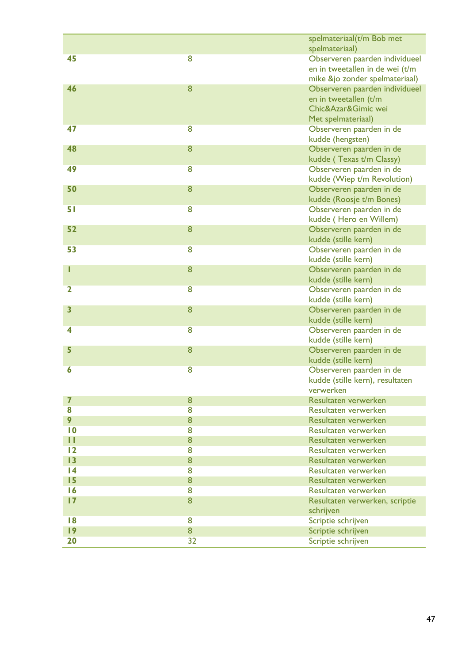|                         |                         | spelmateriaal(t/m Bob met                        |
|-------------------------|-------------------------|--------------------------------------------------|
| 45                      | 8                       | spelmateriaal)<br>Observeren paarden individueel |
|                         |                         | en in tweetallen in de wei (t/m                  |
|                         |                         | mike &jo zonder spelmateriaal)                   |
| 46                      | 8                       | Observeren paarden individueel                   |
|                         |                         | en in tweetallen (t/m                            |
|                         |                         | Chic&Azar&Gimic wei                              |
|                         |                         | Met spelmateriaal)                               |
| 47                      | 8                       | Observeren paarden in de                         |
|                         |                         | kudde (hengsten)                                 |
| 48                      | 8                       | Observeren paarden in de                         |
|                         |                         | kudde (Texas t/m Classy)                         |
| 49                      | 8                       | Observeren paarden in de                         |
|                         |                         | kudde (Wiep t/m Revolution)                      |
| 50                      | 8                       | Observeren paarden in de                         |
|                         |                         | kudde (Roosje t/m Bones)                         |
| 51                      | 8                       | Observeren paarden in de                         |
|                         |                         | kudde (Hero en Willem)                           |
| 52                      | 8                       | Observeren paarden in de                         |
|                         |                         | kudde (stille kern)                              |
| 53                      | $\overline{8}$          | Observeren paarden in de                         |
|                         |                         | kudde (stille kern)                              |
|                         | 8                       | Observeren paarden in de                         |
|                         |                         | kudde (stille kern)                              |
| $\mathbf 2$             | 8                       | Observeren paarden in de                         |
|                         |                         | kudde (stille kern)                              |
| $\overline{\mathbf{3}}$ | 8                       | Observeren paarden in de                         |
|                         |                         | kudde (stille kern)                              |
| 4                       | 8                       | Observeren paarden in de                         |
|                         |                         | kudde (stille kern)                              |
| 5                       | 8                       | Observeren paarden in de                         |
|                         |                         | kudde (stille kern)                              |
| 6                       | 8                       | Observeren paarden in de                         |
|                         |                         | kudde (stille kern), resultaten                  |
|                         |                         | verwerken                                        |
| $\overline{\mathbf{z}}$ | 8                       | Resultaten verwerken                             |
| 8                       | 8                       | Resultaten verwerken                             |
| 9                       | 8                       | Resultaten verwerken                             |
| $\overline{10}$         | $\overline{\mathbf{8}}$ | Resultaten verwerken                             |
| П                       | 8                       | Resultaten verwerken                             |
| 12                      | 8                       | Resultaten verwerken                             |
| 13                      | 8                       | Resultaten verwerken                             |
| 4                       | $\overline{\mathbf{8}}$ | Resultaten verwerken                             |
| 15                      | 8                       | Resultaten verwerken                             |
| 16                      | $\overline{8}$          | Resultaten verwerken                             |
| 17                      | 8                       | Resultaten verwerken, scriptie                   |
|                         |                         | schrijven                                        |
| 8                       | 8                       | Scriptie schrijven                               |
| 9                       | 8                       | Scriptie schrijven                               |
| 20                      | $\overline{32}$         | Scriptie schrijven                               |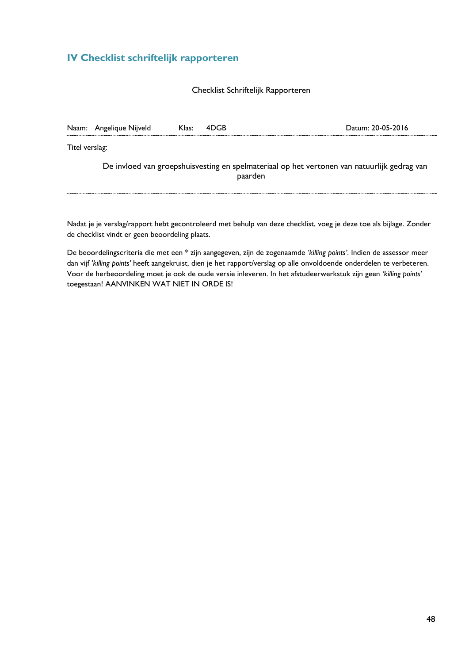## <span id="page-49-0"></span>**IV Checklist schriftelijk rapporteren**

#### Checklist Schriftelijk Rapporteren

|                                                                                                        | Naam: Angelique Nijveld | Klas: | 4DGB | Datum: 20-05-2016 |  |
|--------------------------------------------------------------------------------------------------------|-------------------------|-------|------|-------------------|--|
| Titel verslag:                                                                                         |                         |       |      |                   |  |
| De invloed van groepshuisvesting en spelmateriaal op het vertonen van natuurlijk gedrag van<br>paarden |                         |       |      |                   |  |
|                                                                                                        |                         |       |      |                   |  |

Nadat je je verslag/rapport hebt gecontroleerd met behulp van deze checklist, voeg je deze toe als bijlage. Zonder de checklist vindt er geen beoordeling plaats.

De beoordelingscriteria die met een \* zijn aangegeven, zijn de zogenaamde *'killing points'*. Indien de assessor meer dan vijf *'killing points'* heeft aangekruist, dien je het rapport/verslag op alle onvoldoende onderdelen te verbeteren. Voor de herbeoordeling moet je ook de oude versie inleveren. In het afstudeerwerkstuk zijn geen *'killing points'* toegestaan! AANVINKEN WAT NIET IN ORDE IS!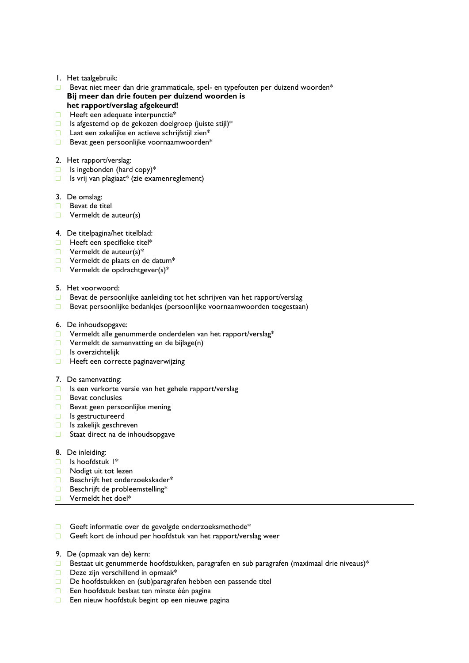- 1. Het taalgebruik:
- $\Box$  Bevat niet meer dan drie grammaticale, spel- en typefouten per duizend woorden\* **Bij meer dan drie fouten per duizend woorden is het rapport/verslag afgekeurd!**
- □ Heeft een adequate interpunctie<sup>\*</sup>
- □ Is afgestemd op de gekozen doelgroep (juiste stijl)\*
- □ Laat een zakelijke en actieve schrijfstijl zien\*
- □ Bevat geen persoonlijke voornaamwoorden\*
- 2. Het rapport/verslag:
- $\Box$  Is ingebonden (hard copy)\*
- $\Box$  Is vrij van plagiaat\* (zie examenreglement)
- 3. De omslag:
- □ Bevat de titel
- □ Vermeldt de auteur(s)
- 4. De titelpagina/het titelblad:
- □ Heeft een specifieke titel\*
- $\Box$  Vermeldt de auteur(s)\*
- □ Vermeldt de plaats en de datum\*
- $\Box$  Vermeldt de opdrachtgever(s)\*
- 5. Het voorwoord:
- □ Bevat de persoonlijke aanleiding tot het schrijven van het rapport/verslag
- □ Bevat persoonlijke bedankjes (persoonlijke voornaamwoorden toegestaan)
- 6. De inhoudsopgave:
- □ Vermeldt alle genummerde onderdelen van het rapport/verslag\*
- □ Vermeldt de samenvatting en de bijlage(n)
- □ Is overzichtelijk
- □ Heeft een correcte paginaverwijzing
- 7. De samenvatting:
- □ Is een verkorte versie van het gehele rapport/verslag
- □ Bevat conclusies
- □ Bevat geen persoonlijke mening
- □ Is gestructureerd
- □ Is zakelijk geschreven
- □ Staat direct na de inhoudsopgave
- 8. De inleiding:
- □ Is hoofdstuk 1\*
- □ Nodigt uit tot lezen
- □ Beschrijft het onderzoekskader\*
- □ Beschrijft de probleemstelling\*
- □ Vermeldt het doel\*
- □ Geeft informatie over de gevolgde onderzoeksmethode\*
- □ Geeft kort de inhoud per hoofdstuk van het rapport/verslag weer
- 9. De (opmaak van de) kern:
- **D** Bestaat uit genummerde hoofdstukken, paragrafen en sub paragrafen (maximaal drie niveaus)\*
- □ Deze zijn verschillend in opmaak\*
- □ De hoofdstukken en (sub)paragrafen hebben een passende titel
- □ Een hoofdstuk beslaat ten minste één pagina
- □ Een nieuw hoofdstuk begint op een nieuwe pagina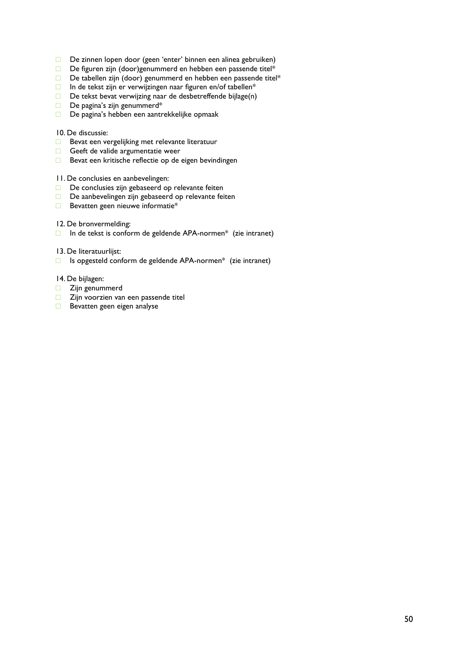- □ De zinnen lopen door (geen 'enter' binnen een alinea gebruiken)
- □ De figuren zijn (door)genummerd en hebben een passende titel\*
- □ De tabellen zijn (door) genummerd en hebben een passende titel\*
- □ In de tekst zijn er verwijzingen naar figuren en/of tabellen\*
- □ De tekst bevat verwijzing naar de desbetreffende bijlage(n)
- □ De pagina's zijn genummerd\*
- □ De pagina's hebben een aantrekkelijke opmaak

#### 10. De discussie:

- □ Bevat een vergelijking met relevante literatuur
- □ Geeft de valide argumentatie weer
- □ Bevat een kritische reflectie op de eigen bevindingen
- 11. De conclusies en aanbevelingen:
- □ De conclusies zijn gebaseerd op relevante feiten
- □ De aanbevelingen zijn gebaseerd op relevante feiten
- □ Bevatten geen nieuwe informatie\*
- 12. De bronvermelding:
- □ In de tekst is conform de geldende APA-normen\* (zie intranet)
- 13. De literatuurlijst:
- □ Is opgesteld conform de geldende APA-normen\* (zie intranet)
- 14. De bijlagen:
- □ Zijn genummerd
- □ Zijn voorzien van een passende titel
- □ Bevatten geen eigen analyse